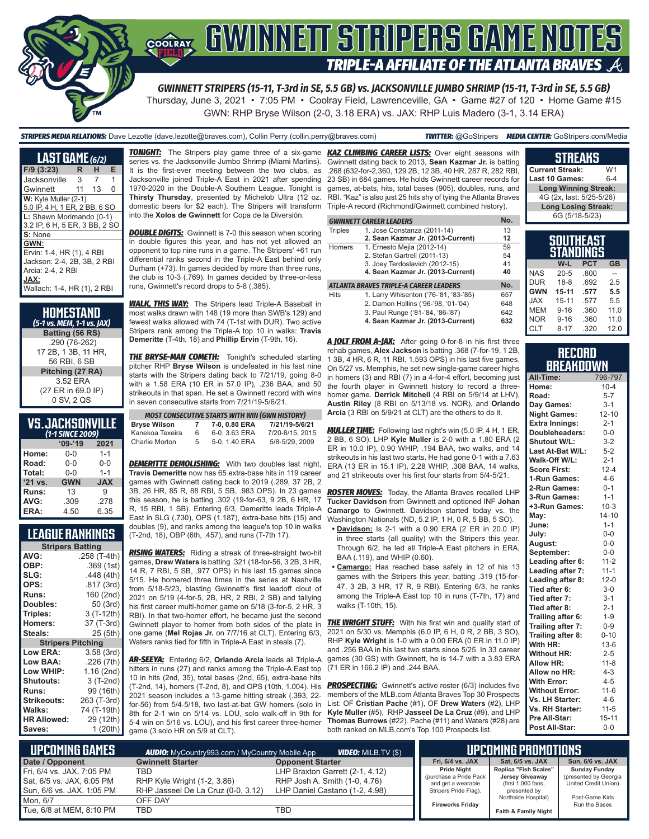

# <u>GWINNEN STRIPERS GAMENOTES</u> **TRIPLE-A AFFILIATE OF THE ATLANTA BRAVES**

*GWINNETT STRIPERS (15-11, T-3rd in SE, 5.5 GB) vs. JACKSONVILLE JUMBO SHRIMP (15-11, T-3rd in SE, 5.5 GB)* Thursday, June 3, 2021 • 7:05 PM • Coolray Field, Lawrenceville, GA • Game #27 of 120 • Home Game #15 GWN: RHP Bryse Wilson (2-0, 3.18 ERA) vs. JAX: RHP Luis Madero (3-1, 3.14 ERA)

*STRIPERS MEDIA RELATIONS:* Dave Lezotte (dave.lezotte@braves.com), Collin Perry (collin.perry@braves.com) *TWITTER:* @GoStripers *MEDIA CENTER:* GoStripers.com/Media

| <u>LAS</u> T GAME (6/2)                                                                                                      |    |    |   |
|------------------------------------------------------------------------------------------------------------------------------|----|----|---|
| $F/9$ (3:23)                                                                                                                 | R  | н  | Е |
| Jacksonville                                                                                                                 | 3  | 7  | 1 |
| Gwinnett                                                                                                                     | 11 | 13 | 0 |
| W: Kyle Muller (2-1)<br>5.0 IP, 4 H, 1 ER, 2 BB, 6 SO                                                                        |    |    |   |
| L: Shawn Morimando (0-1)<br>3.2 IP, 6 H, 5 ER, 3 BB, 2 SO                                                                    |    |    |   |
| $S:$ None                                                                                                                    |    |    |   |
| GWN:<br>Ervin: 1-4, HR (1), 4 RBI<br>Jackson: 2-4, 2B, 3B, 2 RBI<br>Arcia: 2-4, 2 RBI<br>JAX:<br>Wallach: 1-4, HR (1), 2 RBI |    |    |   |

| HOMESTAND<br>(5-1 vs. MEM, 1-1 vs. JAX) |
|-----------------------------------------|
| Batting (56 RS)                         |
| .290 (76-262)                           |
| 17 2B, 1 3B, 11 HR,                     |
| 56 RBI, 6 SB                            |
| Pitching (27 RA)                        |
| 3.52 ERA                                |
| (27 ER in 69.0 IP)                      |
| 0 SV, 2 QS                              |

### **VS. JACKSONVILLE**

| (1-1 SINCE 2009) |            |            |  |  |
|------------------|------------|------------|--|--|
|                  | $09 - 19$  | 2021       |  |  |
| Home:            | $0 - 0$    | $1 - 1$    |  |  |
| Road:            | $0 - 0$    | $0 - 0$    |  |  |
| Total:           | $0 - 0$    | $1 - 1$    |  |  |
| '21 vs.          | <b>GWN</b> | <b>JAX</b> |  |  |
| Runs:            | 13         | 9          |  |  |
| AVG:             | .309       | .278       |  |  |
| ERA:             | 4.50       | 6.35       |  |  |

#### **LEAGUE RANKINGS**

| <b>Stripers Batting</b>  |              |  |
|--------------------------|--------------|--|
| AVG:                     | .258 (T-4th) |  |
| OBP:                     | .369 (1st)   |  |
| SLG:                     | .448 (4th)   |  |
| OPS:                     | .817 (3rd)   |  |
| <b>Runs:</b>             | 160 (2nd)    |  |
| Doubles:                 | 50 (3rd)     |  |
| Triples:                 | 3 (T-12th)   |  |
| <b>Homers:</b>           | 37 (T-3rd)   |  |
| Steals:                  | 25 (5th)     |  |
| <b>Stripers Pitching</b> |              |  |
| <b>Low ERA:</b>          | 3.58(3rd)    |  |
| <b>Low BAA:</b>          | .226 (7th)   |  |
| Low WHIP:                | 1.16 (2nd)   |  |
| <b>Shutouts:</b>         | 3 (T-2nd)    |  |
| <b>Runs:</b>             | 99 (16th)    |  |
| <b>Strikeouts:</b>       | 263 (T-3rd)  |  |
| Walks:                   | 74 (T-19th)  |  |
| <b>HR Allowed:</b>       | 29 (12th)    |  |
| Saves:                   | 1 (20th)     |  |

*TONIGHT:* The Stripers play game three of a six-game *KAZ CLIMBING CAREER LISTS:* Over eight seasons with series vs. the Jacksonville Jumbo Shrimp (Miami Marlins). It is the first-ever meeting between the two clubs, as Jacksonville joined Triple-A East in 2021 after spending 1970-2020 in the Double-A Southern League. Tonight is **Thirsty Thursday**, presented by Michelob Ultra (12 oz. domestic beers for \$2 each). The Stripers will transform Triple-A record (Richmond/Gwinnett combined history). into the **Xolos de Gwinnett** for Copa de la Diversión.

**DOUBLE DIGITS:** Gwinnett is 7-0 this season when scoring in double figures this year, and has not yet allowed an opponent to top nine runs in a game. The Stripers' +61 run differential ranks second in the Triple-A East behind only Durham (+73). In games decided by more than three runs, the club is 10-3 (.769). In games decided by three-or-less runs, Gwinnett's record drops to 5-8 (.385).

*WALK, THIS WAY:* The Stripers lead Triple-A Baseball in most walks drawn with 148 (19 more than SWB's 129) and fewest walks allowed with 74 (T-1st with DUR). Two active Stripers rank among the Triple-A top 10 in walks: **Travis Demeritte** (T-4th, 18) and **Phillip Ervin** (T-9th, 16).

**THE BRYSE-MAN COMETH:** Tonight's scheduled starting pitcher RHP **Bryse Wilson** is undefeated in his last nine starts with the Stripers dating back to 7/21/19, going 8-0 with a 1.58 ERA (10 ER in 57.0 IP), .236 BAA, and 50 strikeouts in that span. He set a Gwinnett record with wins in seven consecutive starts from 7/21/19-5/6/21.

| <b>MOST CONSECUTIVE STARTS WITH WIN (GWN HISTORY)</b> |    |               |                 |  |
|-------------------------------------------------------|----|---------------|-----------------|--|
| <b>Bryse Wilson</b>                                   | 7  | 7-0, 0.80 ERA | 7/21/19-5/6/21  |  |
| Kanekoa Texeira                                       | 6  | 6-0, 3.63 ERA | 7/20-8/15, 2015 |  |
| Charlie Morton                                        | 5. | 5-0, 1.40 ERA | 5/8-5/29, 2009  |  |

**DEMERITTE DEMOLISHING:** With two doubles last night, **Travis Demeritte** now has 65 extra-base hits in 119 career games with Gwinnett dating back to 2019 (.289, 37 2B, 2 3B, 26 HR, 85 R, 88 RBI, 5 SB, .983 OPS). In 23 games this season, he is batting .302 (19-for-63, 9 2B, 6 HR, 17 R, 15 RBI, 1 SB). Entering 6/3, Demeritte leads Triple-A East in SLG (.730), OPS (1.187), extra-base hits (15) and doubles (9), and ranks among the league's top 10 in walks (T-2nd, 18), OBP (6th, .457), and runs (T-7th 17).

*RISING WATERS:* Riding a streak of three-straight two-hit games, **Drew Waters** is batting .321 (18-for-56, 3 2B, 3 HR, 14 R, 7 RBI, 5 SB, .977 OPS) in his last 15 games since 5/15. He homered three times in the series at Nashville from 5/18-5/23, blasting Gwinnett's first leadoff clout of 2021 on 5/19 (4-for-5, 2B, HR, 2 RBI, 2 SB) and tallying his first career multi-homer game on 5/18 (3-for-5, 2 HR, 3 RBI). In that two-homer effort, he became just the second one game (**Mel Rojas Jr.** on 7/7/16 at CLT). Entering 6/3, Waters ranks tied for fifth in Triple-A East in steals (7).

*AR-SEEYA:* Entering 6/2, **Orlando Arcia** leads all Triple-A hitters in runs (27) and ranks among the Triple-A East top 10 in hits (2nd, 35), total bases (2nd, 65), extra-base hits (T-2nd, 14), homers (T-2nd, 8), and OPS (10th, 1.004). His 2021 season includes a 13-game hitting streak (.393, 22 for-56) from 5/4-5/18, two last-at-bat GW homers (solo in 8th for 2-1 win on 5/14 vs. LOU, solo walk-off in 9th for 5-4 win on 5/16 vs. LOU), and his first career three-homer game (3 solo HR on 5/9 at CLT).

**Current Streak:** W1 .268 (632-for-2,360, 129 2B, 12 3B, 40 HR, 287 R, 282 RBI, Gwinnett dating back to 2013, **Sean Kazmar Jr.** is batting 23 SB) in 684 games. He holds Gwinnett career records for games, at-bats, hits, total bases (905), doubles, runs, and RBI. "Kaz" is also just 25 hits shy of tying the Atlanta Braves

|                | <b>GWINNETT CAREER LEADERS</b>         | No. |
|----------------|----------------------------------------|-----|
| <b>Triples</b> | 1. Jose Constanza (2011-14)            | 13  |
|                | 2. Sean Kazmar Jr. (2013-Current)      | 12  |
| Homers         | 1. Ernesto Mejia (2012-14)             | 59  |
|                | 2. Stefan Gartrell (2011-13)           | 54  |
|                | 3. Joey Terdoslavich (2012-15)         | 41  |
|                | 4. Sean Kazmar Jr. (2013-Current)      | 40  |
|                | ATLANTA BRAVES TRIPLE-A CAREER LEADERS | No. |
| <b>Hits</b>    | 1. Larry Whisenton ('76-'81, '83-'85)  | 657 |
|                | 2. Damon Hollins ('96-'98, '01-'04)    | 648 |
|                | 3. Paul Runge ('81-'84, '86-'87)       | 642 |
|                | 4. Sean Kazmar Jr. (2013-Current)      | 632 |

*A JOLT FROM A-JAX:* After going 0-for-8 in his first three rehab games, **Alex Jackson** is batting .368 (7-for-19, 1 2B, 1 3B, 4 HR, 6 R, 11 RBI, 1.593 OPS) in his last five games. On 5/27 vs. Memphis, he set new single-game career highs in homers (3) and RBI (7) in a 4-for-4 effort, becoming just the fourth player in Gwinnett history to record a threehomer game. **Derrick Mitchell** (4 RBI on 5/9/14 at LHV), **Austin Riley** (8 RBI on 5/13/18 vs. NOR), and **Orlando Arcia** (3 RBI on 5/9/21 at CLT) are the others to do it.

*MULLER TIME:* Following last night's win (5.0 IP, 4 H, 1 ER, 2 BB, 6 SO), LHP **Kyle Muller** is 2-0 with a 1.80 ERA (2 ER in 10.0 IP), 0.90 WHIP, .194 BAA, two walks, and 14 strikeouts in his last two starts. He had gone 0-1 with a 7.63 ERA (13 ER in 15.1 IP), 2.28 WHIP, .308 BAA, 14 walks, and 21 strikeouts over his first four starts from 5/4-5/21.

*ROSTER MOVES:* Today, the Atlanta Braves recalled LHP **Tucker Davidson** from Gwinnett and optioned INF **Johan Camargo** to Gwinnett. Davidson started today vs. the Washington Nationals (ND, 5.2 IP, 1 H, 0 R, 5 BB, 5 SO).

- **• Davidson:** Is 2-1 with a 0.90 ERA (2 ER in 20.0 IP) in three starts (all quality) with the Stripers this year. Through 6/2, he led all Triple-A East pitchers in ERA, BAA (.119), and WHIP (0.60).
- **• Camargo:** Has reached base safely in 12 of his 13 games with the Stripers this year, batting .319 (15-for-47, 3 2B, 3 HR, 17 R, 9 RBI). Entering 6/3, he ranks among the Triple-A East top 10 in runs (T-7th, 17) and walks (T-10th, 15).

Gwinnett player to homer from both sides of the plate in *THE WRIGHT STUFF:* With his first win and quality start of 2021 on 5/30 vs. Memphis (6.0 IP, 6 H, 0 R, 2 BB, 3 SO), RHP **Kyle Wright** is 1-0 with a 0.00 ERA (0 ER in 11.0 IP) and .256 BAA in his last two starts since 5/25. In 33 career games (30 GS) with Gwinnett, he is 14-7 with a 3.83 ERA (71 ER in 166.2 IP) and .244 BAA.

> **PROSPECTING:** Gwinnett's active roster (6/3) includes five members of the MLB.com Atlanta Braves Top 30 Prospects List: OF **Cristian Pache** (#1), OF **Drew Waters** (#2), LHP **Kyle Muller** (#5), RHP **Jasseel De La Cruz** (#9), and LHP **Thomas Burrows** (#22). Pache (#11) and Waters (#28) are both ranked on MLB.com's Top 100 Prospects list.

| Last 10 Games:              | $6 - 4$ |
|-----------------------------|---------|
| <b>Long Winning Streak:</b> |         |
| 4G (2x, last: 5/25-5/28)    |         |
| <b>Long Losing Streak:</b>  |         |
| 6G (5/18-5/23)              |         |
|                             |         |
| <b>SOUTHEAST</b>            |         |

**STREAKS**

|            | <b>STANDINGS</b> |            |           |
|------------|------------------|------------|-----------|
|            | W-L              | <b>PCT</b> | <b>GB</b> |
| <b>NAS</b> | $20 - 5$         | .800       |           |
| <b>DUR</b> | $18-8$           | .692       | 2.5       |
| <b>GWN</b> | $15-11$          | .577       | 5.5       |
| <b>XAL</b> | $15 - 11$        | .577       | 5.5       |
| <b>MEM</b> | $9 - 16$         | .360       | 11.0      |
| <b>NOR</b> | $9 - 16$         | .360       | 11.0      |
| <b>CLT</b> | $8 - 17$         | .320       | 12.0      |

#### **RECORD RRFAKDOWN**

| All-Time:             | 796-797   |
|-----------------------|-----------|
| Home:                 | $10 - 4$  |
| Road:                 | $5 - 7$   |
| Day Games:            | $3 - 1$   |
| <b>Night Games:</b>   | $12 - 10$ |
| <b>Extra Innings:</b> | $2 - 1$   |
| Doubleheaders:        | $0 - 0$   |
| <b>Shutout W/L:</b>   | $3 - 2$   |
| Last At-Bat W/L:      | $5 - 2$   |
| Walk-Off W/L:         | $2 - 1$   |
| <b>Score First:</b>   | $12 - 4$  |
| 1-Run Games:          | $4 - 6$   |
| 2-Run Games:          | $0 - 1$   |
| 3-Run Games:          | $1 - 1$   |
| +3-Run Games:         | $10-3$    |
| May:                  | $14 - 10$ |
| June:                 | $1 - 1$   |
| July:                 | $0-0$     |
| August:               | $0-0$     |
| September:            | $0-0$     |
| Leading after 6:      | $11 - 2$  |
| Leading after 7:      | $11 - 1$  |
| Leading after 8:      | $12 - 0$  |
| Tied after 6:         | $3-0$     |
| Tied after 7:         | $3-1$     |
| Tied after 8:         | $2 - 1$   |
| Trailing after 6:     | $1 - 9$   |
| Trailing after 7:     | $0 - 9$   |
| Trailing after 8:     | $0 - 10$  |
| With HR:              | $13-6$    |
| <b>Without HR:</b>    | $2 - 5$   |
| <b>Allow HR:</b>      | $11 - 8$  |
| Allow no HR:          | $4 - 3$   |
| <b>With Error:</b>    | $4 - 5$   |
| <b>Without Error:</b> | $11 - 6$  |
| Vs. LH Starter:       | $4 - 6$   |
| Vs. RH Starter:       | $11 - 5$  |
| Pre All-Star:         | $15 - 11$ |
| Post All-Star:        | $0 - 0$   |

| Lupcoming Games I                                                                   | <b>AUDIO:</b> MyCountry993.com / MyCountry Mobile App                    | <b>VIDEO:</b> MiLB.TV (\$)                                                                         |                                                                                             | <b>UPCOMING PROMOTIONS</b>                                                     |                                                                       |
|-------------------------------------------------------------------------------------|--------------------------------------------------------------------------|----------------------------------------------------------------------------------------------------|---------------------------------------------------------------------------------------------|--------------------------------------------------------------------------------|-----------------------------------------------------------------------|
| Date / Opponent                                                                     | <b>Gwinnett Starter</b>                                                  | <b>Opponent Starter</b>                                                                            | Fri, 6/4 vs. JAX                                                                            | Sat. 6/5 vs. JAX                                                               | Sun, 6/6 vs. JAX                                                      |
| Fri, 6/4 vs. JAX, 7:05 PM<br>Sat, 6/5 vs. JAX, 6:05 PM<br>Sun, 6/6 vs. JAX, 1:05 PM | TBD<br>RHP Kyle Wright (1-2, 3.86)<br>RHP Jasseel De La Cruz (0-0, 3.12) | LHP Braxton Garrett (2-1, 4.12)<br>RHP Josh A. Smith (1-0, 4.76)<br>LHP Daniel Castano (1-2, 4.98) | <b>Pride Night</b><br>(purchase a Pride Pack<br>and get a wearable<br>Stripers Pride Flag). | Replica "Fish Scales"<br>Jersey Giveaway<br>(first 1,000 fans,<br>presented by | <b>Sunday Funday</b><br>(presented by Georgia<br>United Credit Union) |
| Mon. 6/7                                                                            | OFF DAY                                                                  |                                                                                                    | <b>Fireworks Friday</b>                                                                     | Northside Hospital)                                                            | Post-Game Kids<br>Run the Bases                                       |
| Tue, 6/8 at MEM, 8:10 PM                                                            | <b>TBD</b>                                                               | TBD                                                                                                |                                                                                             | Faith & Family Night                                                           |                                                                       |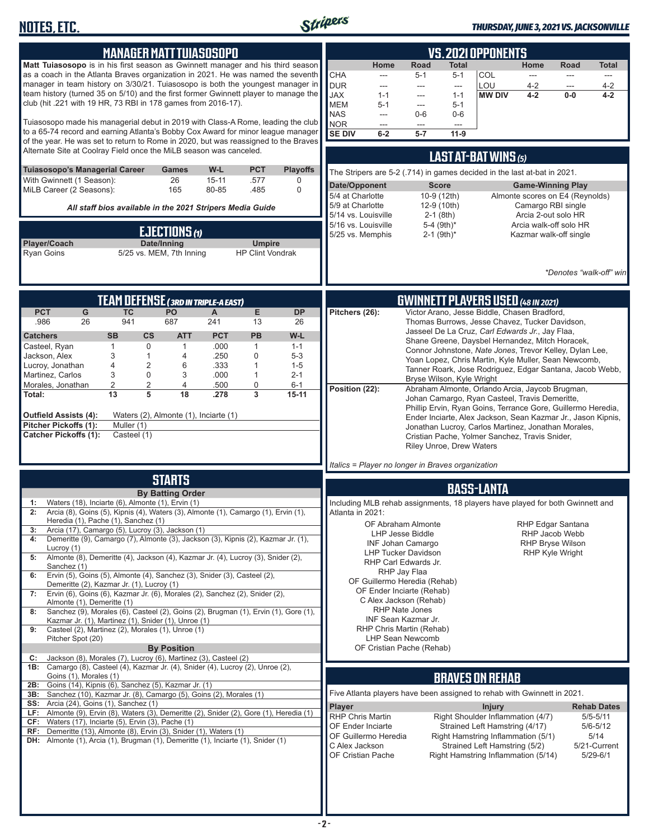

#### *THURSDAY, JUNE 3, 2021 VS. JACKSONVILLE*

| <b>MANAGER MATT TUIASOSOPO</b><br>Matt Tuiasosopo is in his first season as Gwinnett manager and his third season<br>as a coach in the Atlanta Braves organization in 2021. He was named the seventh<br>manager in team history on 3/30/21. Tuiasosopo is both the youngest manager in<br>team history (turned 35 on 5/10) and the first former Gwinnett player to manage the<br>club (hit .221 with 19 HR, 73 RBI in 178 games from 2016-17).<br>Tuiasosopo made his managerial debut in 2019 with Class-A Rome, leading the club<br>to a 65-74 record and earning Atlanta's Bobby Cox Award for minor league manager<br>of the year. He was set to return to Rome in 2020, but was reassigned to the Braves<br>Alternate Site at Coolray Field once the MiLB season was canceled.<br><b>PCT</b><br><b>Tuiasosopo's Managerial Career</b><br>W-L<br>Games<br>26<br>$15 - 11$<br>With Gwinnett (1 Season):<br>.577<br>80-85<br>MiLB Career (2 Seasons):<br>165<br>.485<br>All staff bios available in the 2021 Stripers Media Guide<br>EJECTIONS (1)<br>Player/Coach<br>Date/Inning<br><b>Umpire</b><br>5/25 vs. MEM, 7th Inning<br><b>Ryan Goins</b><br><b>HP Clint Vondrak</b>                                                                                                                                                                                                                                                                                                                                                                                                                                                                                                                                                | <b>VS. 2021 OPPONENTS</b><br><b>Road</b><br><b>Total</b><br>Home<br>Home<br><b>Road</b><br><b>Total</b><br>CHA<br>COL<br>$5 - 1$<br>$5 - 1$<br>$\frac{1}{2}$<br>$\overline{\phantom{a}}$<br>$\overline{\phantom{a}}$<br>$\cdots$<br><b>DUR</b><br>LOU<br>$4 - 2$<br>$4 - 2$<br>$\frac{1}{2}$<br>---<br>---<br>$\overline{a}$<br><b>JAX</b><br><b>MW DIV</b><br>$4 - 2$<br>$0-0$<br>$4 - 2$<br>$1 - 1$<br>$1 - 1$<br>---<br><b>MEM</b><br>$5 - 1$<br>$5 - 1$<br>---<br><b>NAS</b><br>$0-6$<br>$0-6$<br>$\overline{\phantom{a}}$<br><b>NOR</b><br>$\overline{a}$<br>$\overline{a}$<br>$\overline{a}$<br><b>SE DIV</b><br>$5 - 7$<br>$11-9$<br>$6-2$<br>LAST AT-BAT WINS (5)<br><b>Playoffs</b><br>The Stripers are 5-2 (.714) in games decided in the last at-bat in 2021.<br>0<br>Date/Opponent<br><b>Score</b><br><b>Game-Winning Play</b><br>$\mathbf 0$<br>5/4 at Charlotte<br>10-9 (12th)<br>Almonte scores on E4 (Reynolds)<br>5/9 at Charlotte<br>12-9 (10th)<br>Camargo RBI single<br>Arcia 2-out solo HR<br>5/14 vs. Louisville<br>$2-1$ (8th)<br>5/16 vs. Louisville<br>5-4 (9th)*<br>Arcia walk-off solo HR<br>5/25 vs. Memphis<br>$2-1$ (9th) <sup>*</sup><br>Kazmar walk-off single<br>*Denotes "walk-off" winl |
|---------------------------------------------------------------------------------------------------------------------------------------------------------------------------------------------------------------------------------------------------------------------------------------------------------------------------------------------------------------------------------------------------------------------------------------------------------------------------------------------------------------------------------------------------------------------------------------------------------------------------------------------------------------------------------------------------------------------------------------------------------------------------------------------------------------------------------------------------------------------------------------------------------------------------------------------------------------------------------------------------------------------------------------------------------------------------------------------------------------------------------------------------------------------------------------------------------------------------------------------------------------------------------------------------------------------------------------------------------------------------------------------------------------------------------------------------------------------------------------------------------------------------------------------------------------------------------------------------------------------------------------------------------------------------------------------------------------------------------|----------------------------------------------------------------------------------------------------------------------------------------------------------------------------------------------------------------------------------------------------------------------------------------------------------------------------------------------------------------------------------------------------------------------------------------------------------------------------------------------------------------------------------------------------------------------------------------------------------------------------------------------------------------------------------------------------------------------------------------------------------------------------------------------------------------------------------------------------------------------------------------------------------------------------------------------------------------------------------------------------------------------------------------------------------------------------------------------------------------------------------------------------------------------------------------------------------------------------|
| <b>TEAM DEFENSE (3RD IN TRIPLE-A EAST)</b><br>E<br><b>PCT</b><br><b>TC</b><br>PO<br>G<br>A<br>941<br>.986<br>26<br>687<br>241<br>13<br><b>PCT</b><br><b>Catchers</b><br><b>SB</b><br>$\mathsf{cs}$<br><b>ATT</b><br><b>PB</b><br>$\Omega$<br>.000<br>$\mathbf{1}$<br>Casteel, Ryan<br>$\mathbf{1}$<br>$\mathbf{1}$<br>3<br>.250<br>$\mathbf 0$<br>Jackson, Alex<br>1<br>4<br>4<br>$\overline{2}$<br>Lucroy, Jonathan<br>6<br>.333<br>$\mathbf{1}$<br>3<br>$\mathbf 0$<br>Martinez, Carlos<br>3<br>.000<br>1<br>$\overline{2}$<br>$\overline{2}$<br>Morales, Jonathan<br>4<br>.500<br>0<br>13<br>5<br>18<br>3<br>.278<br>Total:<br>Outfield Assists (4):<br>Waters (2), Almonte (1), Inciarte (1)<br><b>Pitcher Pickoffs (1):</b><br>Muller (1)<br><b>Catcher Pickoffs (1):</b><br>Casteel (1)                                                                                                                                                                                                                                                                                                                                                                                                                                                                                                                                                                                                                                                                                                                                                                                                                                                                                                                                   | <b>GWINNETT PLAYERS USED (48 IN 2021)</b><br>Victor Arano, Jesse Biddle, Chasen Bradford,<br><b>DP</b><br>Pitchers (26):<br>Thomas Burrows, Jesse Chavez, Tucker Davidson,<br>26<br>Jasseel De La Cruz, Carl Edwards Jr., Jay Flaa,<br>W-L<br>Shane Greene, Daysbel Hernandez, Mitch Horacek,<br>$1 - 1$<br>Connor Johnstone, Nate Jones, Trevor Kelley, Dylan Lee,<br>$5 - 3$<br>Yoan Lopez, Chris Martin, Kyle Muller, Sean Newcomb,<br>$1 - 5$<br>Tanner Roark, Jose Rodriguez, Edgar Santana, Jacob Webb,<br>$2 - 1$<br>Bryse Wilson, Kyle Wright<br>$6 - 1$<br>Abraham Almonte, Orlando Arcia, Jaycob Brugman,<br>Position (22):<br>$15 - 11$<br>Johan Camargo, Ryan Casteel, Travis Demeritte,<br>Phillip Ervin, Ryan Goins, Terrance Gore, Guillermo Heredia,<br>Ender Inciarte, Alex Jackson, Sean Kazmar Jr., Jason Kipnis,<br>Jonathan Lucroy, Carlos Martinez, Jonathan Morales,<br>Cristian Pache, Yolmer Sanchez, Travis Snider,<br><b>Riley Unroe, Drew Waters</b><br>Italics = Player no longer in Braves organization                                                                                                                                                                                      |
| <b>STARTS</b><br><b>By Batting Order</b><br>Waters (18), Inciarte (6), Almonte (1), Ervin (1)<br>1:<br>Arcia (8), Goins (5), Kipnis (4), Waters (3), Almonte (1), Camargo (1), Ervin (1),<br>Heredia (1), Pache (1), Sanchez (1)<br>Arcia (17), Camargo (5), Lucroy (3), Jackson (1)<br>3:<br>Demeritte (9), Camargo (7), Almonte (3), Jackson (3), Kipnis (2), Kazmar Jr. (1),<br>4:<br>Lucroy (1)<br>Almonte (8), Demeritte (4), Jackson (4), Kazmar Jr. (4), Lucroy (3), Snider (2),<br>5:<br>Sanchez (1)<br>Ervin (5), Goins (5), Almonte (4), Sanchez (3), Snider (3), Casteel (2),<br>6:<br>Demeritte (2), Kazmar Jr. (1), Lucroy (1)<br>Ervin (6), Goins (6), Kazmar Jr. (6), Morales (2), Sanchez (2), Snider (2),<br>7:<br>Almonte (1), Demeritte (1)<br>Sanchez (9), Morales (6), Casteel (2), Goins (2), Brugman (1), Ervin (1), Gore (1),<br>8:<br>Kazmar Jr. (1), Martinez (1), Snider (1), Unroe (1)<br>9:<br>Casteel (2), Martinez (2), Morales (1), Unroe (1)<br>Pitcher Spot (20)<br><b>By Position</b><br>Jackson (8), Morales (7), Lucroy (6), Martinez (3), Casteel (2)<br>C:<br>1B: Camargo (8), Casteel (4), Kazmar Jr. (4), Snider (4), Lucroy (2), Unroe (2),<br>Goins (1), Morales (1)<br>Goins (14), Kipnis (6), Sanchez (5), Kazmar Jr. (1)<br>2B:<br>3B: Sanchez (10), Kazmar Jr. (8), Camargo (5), Goins (2), Morales (1)<br><b>SS:</b> Arcia (24), Goins (1), Sanchez (1)<br>LF: Almonte (9), Ervin (8), Waters (3), Demeritte (2), Snider (2), Gore (1), Heredia (1)<br>CF: Waters $(17)$ , Inciarte $(5)$ , Ervin $(3)$ , Pache $(1)$<br>RF: Demeritte (13), Almonte (8), Ervin (3), Snider (1), Waters (1)<br>DH: Almonte (1), Arcia (1), Brugman (1), Demeritte (1), Inciarte (1), Snider (1) | <b>BASS-LANTA</b><br>Including MLB rehab assignments, 18 players have played for both Gwinnett and<br>Atlanta in 2021:<br>OF Abraham Almonte<br><b>RHP Edgar Santana</b><br>LHP Jesse Biddle<br>RHP Jacob Webb<br><b>INF Johan Camargo</b><br><b>RHP Bryse Wilson</b><br><b>LHP Tucker Davidson</b><br><b>RHP Kyle Wright</b><br>RHP Carl Edwards Jr.<br>RHP Jay Flaa<br>OF Guillermo Heredia (Rehab)<br>OF Ender Inciarte (Rehab)<br>C Alex Jackson (Rehab)<br><b>RHP Nate Jones</b><br>INF Sean Kazmar Jr.<br>RHP Chris Martin (Rehab)<br><b>LHP Sean Newcomb</b><br>OF Cristian Pache (Rehab)<br><b>BRAVES ON REHAB</b><br>Five Atlanta players have been assigned to rehab with Gwinnett in 2021.<br>Player<br><b>Injury</b><br><b>Rehab Dates</b><br><b>RHP Chris Martin</b><br>Right Shoulder Inflammation (4/7)<br>$5/5 - 5/11$<br>OF Ender Inciarte<br>Strained Left Hamstring (4/17)<br>$5/6 - 5/12$<br>OF Guillermo Heredia<br>Right Hamstring Inflammation (5/1)<br>5/14<br>C Alex Jackson<br>Strained Left Hamstring (5/2)<br>5/21-Current<br>OF Cristian Pache<br>Right Hamstring Inflammation (5/14)<br>$5/29 - 6/1$                                                                                         |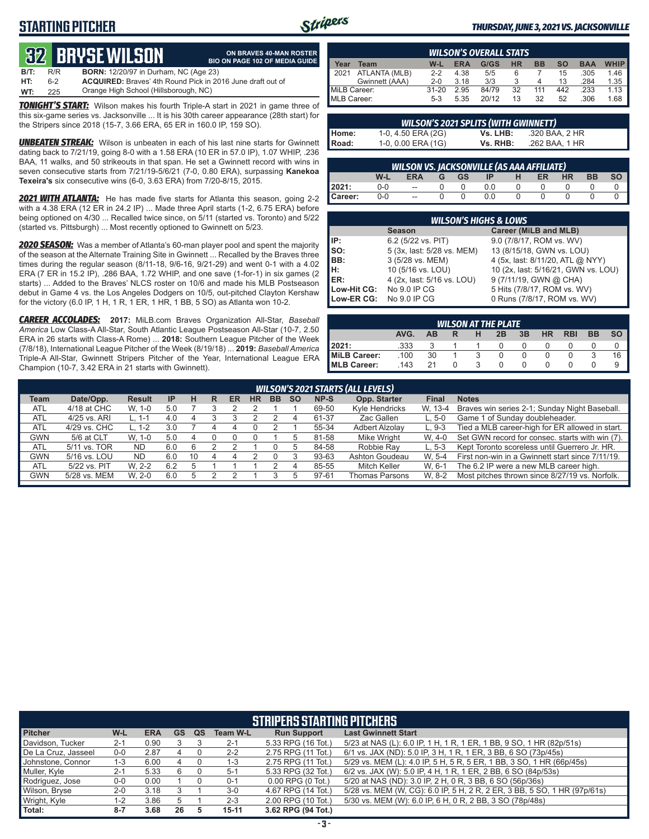# **STARTING PITCHER**



#### *THURSDAY, JUNE 3, 2021 VS. JACKSONVILLE*

# **32****BRYSE WILSON**

|         |     | <b>82 BRYSE WILSON</b>                                            | ON BRAVES 40-MAN ROSTER<br><b>BIO ON PAGE 102 OF MEDIA GUIDE</b> |
|---------|-----|-------------------------------------------------------------------|------------------------------------------------------------------|
| $B/T$ : | R/R | <b>BORN:</b> 12/20/97 in Durham, NC (Age 23)                      |                                                                  |
| HT:     | հ-2 | <b>ACQUIRED:</b> Braves' 4th Round Pick in 2016 June draft out of |                                                                  |
| WT:     | 225 | Orange High School (Hillsborough, NC)                             |                                                                  |

*TONIGHT'S START:* Wilson makes his fourth Triple-A start in 2021 in game three of this six-game series vs. Jacksonville ... It is his 30th career appearance (28th start) for the Stripers since 2018 (15-7, 3.66 ERA, 65 ER in 160.0 IP, 159 SO).

*UNBEATEN STREAK:* Wilson is unbeaten in each of his last nine starts for Gwinnett dating back to 7/21/19, going 8-0 with a 1.58 ERA (10 ER in 57.0 IP), 1.07 WHIP, .236 BAA, 11 walks, and 50 strikeouts in that span. He set a Gwinnett record with wins in seven consecutive starts from 7/21/19-5/6/21 (7-0, 0.80 ERA), surpassing **Kanekoa Texeira's** six consecutive wins (6-0, 3.63 ERA) from 7/20-8/15, 2015.

*2021 WITH ATLANTA:* He has made five starts for Atlanta this season, going 2-2 with a 4.38 ERA (12 ER in 24.2 IP) ... Made three April starts (1-2, 6.75 ERA) before being optioned on 4/30 ... Recalled twice since, on 5/11 (started vs. Toronto) and 5/22 (started vs. Pittsburgh) ... Most recently optioned to Gwinnett on 5/23.

*2020 SEASON:* Was a member of Atlanta's 60-man player pool and spent the majority of the season at the Alternate Training Site in Gwinnett ... Recalled by the Braves three times during the regular season (8/11-18, 9/6-16, 9/21-29) and went 0-1 with a 4.02 ERA (7 ER in 15.2 IP), .286 BAA, 1.72 WHIP, and one save (1-for-1) in six games (2 starts) ... Added to the Braves' NLCS roster on 10/6 and made his MLB Postseason debut in Game 4 vs. the Los Angeles Dodgers on 10/5, out-pitched Clayton Kershaw for the victory (6.0 IP, 1 H, 1 R, 1 ER, 1 HR, 1 BB, 5 SO) as Atlanta won 10-2.

*CAREER ACCOLADES:* **2017:** MiLB.com Braves Organization All-Star, *Baseball America* Low Class-A All-Star, South Atlantic League Postseason All-Star (10-7, 2.50 ERA in 26 starts with Class-A Rome) ... **2018:** Southern League Pitcher of the Week (7/8/18), International League Pitcher of the Week (8/19/18) ... **2019:** *Baseball America*  Triple-A All-Star, Gwinnett Stripers Pitcher of the Year, International League ERA Champion (10-7, 3.42 ERA in 21 starts with Gwinnett).

| <b>WILSON'S OVERALL STATS</b>                                                                     |                |           |      |       |    |     |     |      |      |  |  |  |
|---------------------------------------------------------------------------------------------------|----------------|-----------|------|-------|----|-----|-----|------|------|--|--|--|
| <b>WHIP</b><br>G/GS<br>$W-L$<br>НR<br><b>BB</b><br>SΟ<br><b>ERA</b><br><b>BAA</b><br>Team<br>rear |                |           |      |       |    |     |     |      |      |  |  |  |
| 2021                                                                                              | ATLANTA (MLB)  | $2-2$     | 4.38 | 5/5   |    |     | 15  | .305 | 1.46 |  |  |  |
|                                                                                                   | Gwinnett (AAA) | $2 - 0$   | 3.18 | 3/3   |    | 4   | 13  | .284 | 1.35 |  |  |  |
| MiLB Career:                                                                                      |                | $31 - 20$ | 2.95 | 84/79 | 32 | 111 | 442 | .233 | 1.13 |  |  |  |
| MLB Career:                                                                                       |                | $5-3$     | 5.35 | 20/12 | 13 | 32  | 52  | .306 | 1.68 |  |  |  |

|                | <b>WILSON'S 2021 SPLITS (WITH GWINNETT)</b> |          |                |  |  |  |  |  |  |  |  |  |  |
|----------------|---------------------------------------------|----------|----------------|--|--|--|--|--|--|--|--|--|--|
| Home:<br>Road: | 1-0, 4.50 ERA (2G)                          | Vs. LHB: | .320 BAA, 2 HR |  |  |  |  |  |  |  |  |  |  |
|                | 1-0, 0.00 ERA (1G)                          | Vs. RHB: | .262 BAA, 1 HR |  |  |  |  |  |  |  |  |  |  |

|         | <u>WILSON VS</u> . JACKSONVILLE (AS AAA AFFILIATE)            |                          |  |  |     |  |  |  |  |  |  |  |  |  |
|---------|---------------------------------------------------------------|--------------------------|--|--|-----|--|--|--|--|--|--|--|--|--|
|         | <b>HR</b><br>W-l<br>BB<br><b>GS</b><br><b>IP</b><br>ER<br>ERA |                          |  |  |     |  |  |  |  |  |  |  |  |  |
| 2021:   | 0-0                                                           | $\overline{\phantom{a}}$ |  |  |     |  |  |  |  |  |  |  |  |  |
| Career: | 0-0                                                           | $\overline{\phantom{a}}$ |  |  | 0.0 |  |  |  |  |  |  |  |  |  |

|                 | <b>WILSON'S HIGHS &amp; LOWS</b> |                                     |  |  |  |  |  |  |  |  |  |  |
|-----------------|----------------------------------|-------------------------------------|--|--|--|--|--|--|--|--|--|--|
|                 | <b>Season</b>                    | Career (MiLB and MLB)               |  |  |  |  |  |  |  |  |  |  |
| IP:             | 6.2 (5/22 vs. PIT)               | 9.0 (7/8/17, ROM vs. WV)            |  |  |  |  |  |  |  |  |  |  |
| $\mathsf{Iso}:$ | 5 (3x, last: 5/28 vs. MEM)       | 13 (8/15/18, GWN vs. LOU)           |  |  |  |  |  |  |  |  |  |  |
| IBB:            | 3 (5/28 vs. MEM)                 | 4 (5x, last: 8/11/20, ATL @ NYY)    |  |  |  |  |  |  |  |  |  |  |
| lH:             | 10 (5/16 vs. LOU)                | 10 (2x, last: 5/16/21, GWN vs. LOU) |  |  |  |  |  |  |  |  |  |  |
| <b>IER:</b>     | 4 (2x, last: 5/16 vs. LOU)       | 9 (7/11/19, GWN @ CHA)              |  |  |  |  |  |  |  |  |  |  |
| Low-Hit CG:     | No 9.0 IP CG                     | 5 Hits (7/8/17, ROM vs. WV)         |  |  |  |  |  |  |  |  |  |  |
| Low-ER CG:      | No 9.0 IP CG                     | 0 Runs (7/8/17, ROM vs. WV)         |  |  |  |  |  |  |  |  |  |  |

| <b>WILSON AT THE PLATE</b>                                     |      |    |  |  |  |  |  |  |   |  |  |  |  |
|----------------------------------------------------------------|------|----|--|--|--|--|--|--|---|--|--|--|--|
| AVG.<br><b>HR</b><br><b>BB</b><br>3B<br><b>RBI</b><br>2B<br>AB |      |    |  |  |  |  |  |  |   |  |  |  |  |
| 12021:                                                         | .333 |    |  |  |  |  |  |  |   |  |  |  |  |
| MiLB Career:                                                   | .100 | 30 |  |  |  |  |  |  | 3 |  |  |  |  |
| <b>IMLB Career:</b>                                            | 143  | 21 |  |  |  |  |  |  |   |  |  |  |  |

| <b>WILSON'S 2021 STARTS (ALL LEVELS)</b> |                                                                                                   |               |           |    |   |    |    |    |           |       |                       |              |                                                  |
|------------------------------------------|---------------------------------------------------------------------------------------------------|---------------|-----------|----|---|----|----|----|-----------|-------|-----------------------|--------------|--------------------------------------------------|
| Team                                     | Date/Opp.                                                                                         | <b>Result</b> | <b>IP</b> | н  | R | ER | HR | BB | <b>SO</b> | NP-S  | Opp. Starter          | <b>Final</b> | <b>Notes</b>                                     |
| <b>ATL</b>                               | 4/18 at CHC                                                                                       | W. 1-0        | 5.0       |    |   |    |    |    |           | 69-50 | Kyle Hendricks        | W. 13-4      | Braves win series 2-1; Sunday Night Baseball.    |
| <b>ATL</b>                               | Game 1 of Sunday doubleheader.<br>Zac Gallen<br>4/25 vs. ARI<br>61-37<br>4.0<br>$L.5-0$<br>L. 1-1 |               |           |    |   |    |    |    |           |       |                       |              |                                                  |
| <b>ATL</b>                               | 4/29 vs. CHC                                                                                      | L. 1-2        | 3.0       |    |   | 4  |    |    |           | 55-34 | <b>Adbert Alzolav</b> | L. 9-3       | Tied a MLB career-high for ER allowed in start.  |
| <b>GWN</b>                               | 5/6 at CLT                                                                                        | W. 1-0        | 5.0       |    |   |    |    |    |           | 81-58 | Mike Wright           | W. 4-0       | Set GWN record for consec. starts with win (7).  |
| <b>ATL</b>                               | 5/11 vs. TOR                                                                                      | ND.           | 6.0       |    |   |    |    |    |           | 84-58 | Robbie Ray            | $L.5-3$      | Kept Toronto scoreless until Guerrero Jr. HR.    |
| <b>GWN</b>                               | 5/16 vs. LOU                                                                                      | <b>ND</b>     | 6.0       | 10 |   |    |    |    |           | 93-63 | Ashton Goudeau        | W. 5-4       | First non-win in a Gwinnett start since 7/11/19. |
| <b>ATL</b>                               | 5/22 vs. PIT                                                                                      | W. 2-2        | 6.2       |    |   |    |    |    |           | 85-55 | Mitch Keller          | W. 6-1       | The 6.2 IP were a new MLB career high.           |
| <b>GWN</b>                               | 5/28 vs. MEM                                                                                      | W. 2-0        | 6.0       |    |   |    |    |    |           | 97-61 | Thomas Parsons        | W. 8-2       | Most pitches thrown since 8/27/19 vs. Norfolk.   |
|                                          |                                                                                                   |               |           |    |   |    |    |    |           |       |                       |              |                                                  |

| <b>STRIPERS STARTING PITCHERS</b> |         |            |           |    |                 |                       |                                                                          |  |  |  |
|-----------------------------------|---------|------------|-----------|----|-----------------|-----------------------|--------------------------------------------------------------------------|--|--|--|
| <b>Pitcher</b>                    | $W-L$   | <b>ERA</b> | <b>GS</b> | QS | <b>Team W-L</b> | <b>Run Support</b>    | <b>Last Gwinnett Start</b>                                               |  |  |  |
| Davidson, Tucker                  | $2 - 1$ | 0.90       |           |    | $2 - 1$         | 5.33 RPG (16 Tot.)    | 5/23 at NAS (L): 6.0 IP, 1 H, 1 R, 1 ER, 1 BB, 9 SO, 1 HR (82p/51s)      |  |  |  |
| De La Cruz, Jasseel               | $0-0$   | 2.87       | 4         |    | $2 - 2$         | 2.75 RPG (11 Tot.)    | 6/1 vs. JAX (ND): 5.0 IP, 3 H, 1 R, 1 ER, 3 BB, 6 SO (73p/45s)           |  |  |  |
| Johnstone, Connor                 | 1-3     | 6.00       | 4         |    | 1-3             | 2.75 RPG (11 Tot.)    | 5/29 vs. MEM (L): 4.0 IP, 5 H, 5 R, 5 ER, 1 BB, 3 SO, 1 HR (66p/45s)     |  |  |  |
| Muller, Kyle                      | $2 - 1$ | 5.33       | 6         |    | $5-1$           | 5.33 RPG (32 Tot.)    | 6/2 vs. JAX (W): 5.0 IP, 4 H, 1 R, 1 ER, 2 BB, 6 SO (84p/53s)            |  |  |  |
| Rodriguez, Jose                   | $0-0$   | 0.00       |           |    | $0 - 1$         | $0.00$ RPG $(0$ Tot.) | 5/20 at NAS (ND): 3.0 IP, 2 H, 0 R, 3 BB, 6 SO (56p/36s)                 |  |  |  |
| Wilson, Bryse                     | $2 - 0$ | 3.18       |           |    | $3-0$           | 4.67 RPG (14 Tot.)    | 5/28 vs. MEM (W, CG): 6.0 IP, 5 H, 2 R, 2 ER, 3 BB, 5 SO, 1 HR (97p/61s) |  |  |  |
| Wright, Kyle                      | $1 - 2$ | 3.86       | b         |    | $2 - 3$         | 2.00 RPG (10 Tot.)    | 5/30 vs. MEM (W): 6.0 IP, 6 H, 0 R, 2 BB, 3 SO (78p/48s)                 |  |  |  |
| Total:                            | $8 - 7$ | 3.68       | 26        | 5  | $15 - 11$       | 3.62 RPG (94 Tot.)    |                                                                          |  |  |  |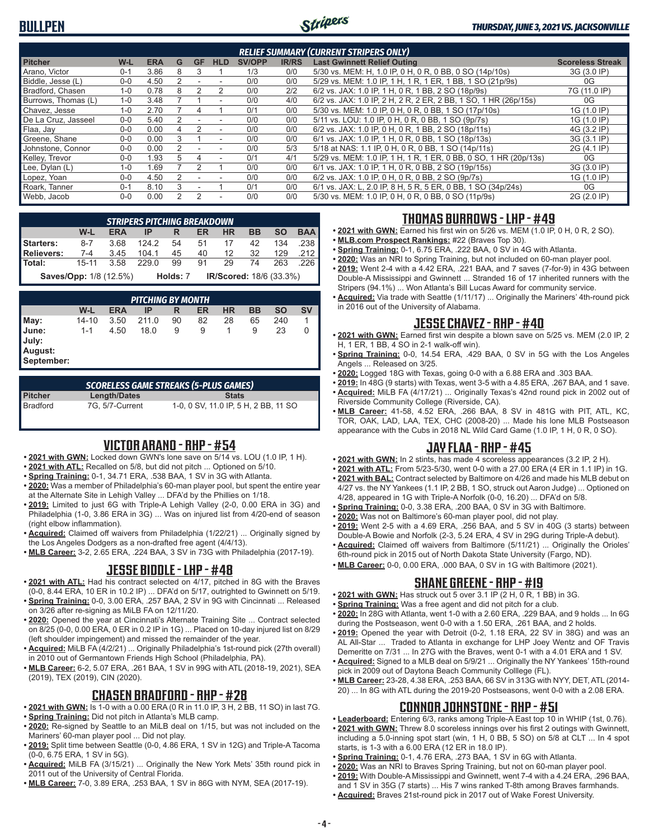# **BULLPEN**



#### *THURSDAY, JUNE 3, 2021 VS. JACKSONVILLE*

| <b>RELIEF SUMMARY (CURRENT STRIPERS ONLY)</b> |         |            |   |           |                          |               |              |                                                                  |                         |  |  |
|-----------------------------------------------|---------|------------|---|-----------|--------------------------|---------------|--------------|------------------------------------------------------------------|-------------------------|--|--|
| <b>Pitcher</b>                                | W-L     | <b>ERA</b> | G | <b>GF</b> | <b>HLD</b>               | <b>SV/OPP</b> | <b>IR/RS</b> | <b>Last Gwinnett Relief Outing</b>                               | <b>Scoreless Streak</b> |  |  |
| Arano. Victor                                 | $0 - 1$ | 3.86       | 8 | 3         |                          | 1/3           | 0/0          | 5/30 vs. MEM: H, 1.0 IP, 0 H, 0 R, 0 BB, 0 SO (14p/10s)          | 3G (3.0 IP)             |  |  |
| Biddle, Jesse (L)                             | $0 - 0$ | 4.50       |   |           |                          | 0/0           | 0/0          | 5/29 vs. MEM: 1.0 IP, 1 H, 1 R, 1 ER, 1 BB, 1 SO (21p/9s)        | 0G                      |  |  |
| Bradford, Chasen                              | $1 - 0$ | 0.78       |   |           | 2                        | 0/0           | 2/2          | 6/2 vs. JAX: 1.0 IP, 1 H, 0 R, 1 BB, 2 SO (18p/9s)               | 7G (11.0 IP)            |  |  |
| Burrows, Thomas (L)                           | $1 - 0$ | 3.48       |   |           | ٠                        | 0/0           | 4/0          | 6/2 vs. JAX: 1.0 IP, 2 H, 2 R, 2 ER, 2 BB, 1 SO, 1 HR (26p/15s)  | 0G                      |  |  |
| Chavez. Jesse                                 | $1 - 0$ | 2.70       |   |           |                          | 0/1           | 0/0          | 5/30 vs. MEM: 1.0 IP, 0 H, 0 R, 0 BB, 1 SO (17p/10s)             | 1G (1.0 IP)             |  |  |
| De La Cruz, Jasseel                           | $0 - 0$ | 5.40       | 2 |           |                          | 0/0           | 0/0          | 5/11 vs. LOU: 1.0 IP, 0 H, 0 R, 0 BB, 1 SO (9p/7s)               | 1G (1.0 IP)             |  |  |
| Flaa, Jay                                     | $0 - 0$ | 0.00       | 4 |           | $\overline{\phantom{a}}$ | 0/0           | 0/0          | 6/2 vs. JAX: 1.0 IP, 0 H, 0 R, 1 BB, 2 SO (18p/11s)              | 4G (3.2 IP)             |  |  |
| Greene, Shane                                 | $0 - 0$ | 0.00       |   |           | $\sim$                   | 0/0           | 0/0          | 6/1 vs. JAX: 1.0 IP, 1 H, 0 R, 0 BB, 1 SO (18p/13s)              | 3G (3.1 IP)             |  |  |
| Johnstone, Connor                             | $0-0$   | 0.00       |   |           |                          | 0/0           | 5/3          | 5/18 at NAS: 1.1 IP, 0 H, 0 R, 0 BB, 1 SO (14p/11s)              | 2G (4.1 IP)             |  |  |
| Kelley, Trevor                                | $0 - 0$ | 1.93       | 5 | 4         |                          | 0/1           | 4/1          | 5/29 vs. MEM: 1.0 IP, 1 H, 1 R, 1 ER, 0 BB, 0 SO, 1 HR (20p/13s) | 0G                      |  |  |
| Lee, Dylan (L)                                | $1 - 0$ | .69        |   |           |                          | 0/0           | 0/0          | 6/1 vs. JAX: 1.0 IP, 1 H, 0 R, 0 BB, 2 SO (19p/15s)              | 3G (3.0 IP)             |  |  |
| Lopez, Yoan                                   | $0 - 0$ | 4.50       |   |           |                          | 0/0           | 0/0          | 6/2 vs. JAX: 1.0 IP, 0 H, 0 R, 0 BB, 2 SO (9p/7s)                | 1G (1.0 IP)             |  |  |
| Roark, Tanner                                 | $0 - 1$ | 8.10       | 3 |           |                          | 0/1           | 0/0          | 6/1 vs. JAX: L, 2.0 IP, 8 H, 5 R, 5 ER, 0 BB, 1 SO (34p/24s)     | 0G                      |  |  |
| Webb, Jacob                                   | $0-0$   | 0.00       | 2 | 2         | ۰                        | 0/0           | 0/0          | 5/30 vs. MEM: 1.0 IP, 0 H, 0 R, 0 BB, 0 SO (11p/9s)              | 2G (2.0 IP)             |  |  |

|                                               | <b>STRIPERS PITCHING BREAKDOWN</b>                         |  |                      |  |  |  |  |  |            |  |  |  |  |  |
|-----------------------------------------------|------------------------------------------------------------|--|----------------------|--|--|--|--|--|------------|--|--|--|--|--|
|                                               | W-L                                                        |  | ERA IP R ER HR BB SO |  |  |  |  |  | <b>BAA</b> |  |  |  |  |  |
| Starters: 8-7 3.68 124.2 54 51 17 42 134 .238 |                                                            |  |                      |  |  |  |  |  |            |  |  |  |  |  |
| <b>Relievers:</b>                             | 7-4 3.45 104.1 45 40 12 32 129 212                         |  |                      |  |  |  |  |  |            |  |  |  |  |  |
| Total: 15-11 3.58 229.0 99 91 29 74 263 226   |                                                            |  |                      |  |  |  |  |  |            |  |  |  |  |  |
|                                               | $SovolQnn: 1/9/12 EV$ $Holdo: 7$ $IB/Scorod: 19/6/22 20/1$ |  |                      |  |  |  |  |  |            |  |  |  |  |  |

**Saves/Opp:** 1/8 (12.5%) **Holds:** 7 **IR/Scored:** 18/6 (33.3%)

| <b>PITCHING BY MONTH</b>                        |         |            |       |    |    |           |    |     |           |  |  |
|-------------------------------------------------|---------|------------|-------|----|----|-----------|----|-----|-----------|--|--|
|                                                 | W-L     | <b>ERA</b> | ΙP    | R  | ER | <b>HR</b> | BB | SΟ  | <b>SV</b> |  |  |
|                                                 | 14-10   | 3.50       | 211.0 | 90 | 82 | 28        | 65 | 240 |           |  |  |
| May:<br>June:<br>July:<br>August:<br>September: | $1 - 1$ | 4.50       | 18.0  | 9  | 9  |           | 9  | 23  | 0         |  |  |

| <b>SCORELESS GAME STREAKS (5-PLUS GAMES)</b> |                 |                                      |  |  |  |  |  |  |  |  |
|----------------------------------------------|-----------------|--------------------------------------|--|--|--|--|--|--|--|--|
| Pitcher                                      | Length/Dates    | <b>Stats</b>                         |  |  |  |  |  |  |  |  |
| Bradford                                     | 7G. 5/7-Current | 1-0, 0 SV, 11.0 IP, 5 H, 2 BB, 11 SO |  |  |  |  |  |  |  |  |

#### **VICTOR ARANO - RHP - #54**

- **• 2021 with GWN:** Locked down GWN's lone save on 5/14 vs. LOU (1.0 IP, 1 H).
- **• 2021 with ATL:** Recalled on 5/8, but did not pitch ... Optioned on 5/10.
- **• Spring Training:** 0-1, 34.71 ERA, .538 BAA, 1 SV in 3G with Atlanta.
- **• 2020:** Was a member of Philadelphia's 60-man player pool, but spent the entire year at the Alternate Site in Lehigh Valley ... DFA'd by the Phillies on 1/18.
- **• 2019:** Limited to just 6G with Triple-A Lehigh Valley (2-0, 0.00 ERA in 3G) and Philadelphia (1-0, 3.86 ERA in 3G) ... Was on injured list from 4/20-end of season (right elbow inflammation).
- **• Acquired:** Claimed off waivers from Philadelphia (1/22/21) ... Originally signed by the Los Angeles Dodgers as a non-drafted free agent (4/4/13).
- **• MLB Career:** 3-2, 2.65 ERA, .224 BAA, 3 SV in 73G with Philadelphia (2017-19).

#### **JESSE BIDDLE - LHP - #48**

- **• 2021 with ATL:** Had his contract selected on 4/17, pitched in 8G with the Braves (0-0, 8.44 ERA, 10 ER in 10.2 IP) ... DFA'd on 5/17, outrighted to Gwinnett on 5/19.
- **• Spring Training:** 0-0, 3.00 ERA, .257 BAA, 2 SV in 9G with Cincinnati ... Released on 3/26 after re-signing as MiLB FA on 12/11/20.
- **• 2020:** Opened the year at Cincinnati's Alternate Training Site ... Contract selected on 8/25 (0-0, 0.00 ERA, 0 ER in 0.2 IP in 1G) ... Placed on 10-day injured list on 8/29 (left shoulder impingement) and missed the remainder of the year.
- **• Acquired:** MiLB FA (4/2/21) ... Originally Philadelphia's 1st-round pick (27th overall) in 2010 out of Germantown Friends High School (Philadelphia, PA).
- **• MLB Career:** 6-2, 5.07 ERA, .261 BAA, 1 SV in 99G with ATL (2018-19, 2021), SEA (2019), TEX (2019), CIN (2020).

#### **CHASEN BRADFORD - RHP - #28**

- **• 2021 with GWN:** Is 1-0 with a 0.00 ERA (0 R in 11.0 IP, 3 H, 2 BB, 11 SO) in last 7G.
- **• Spring Training:** Did not pitch in Atlanta's MLB camp.
- **• 2020:** Re-signed by Seattle to an MiLB deal on 1/15, but was not included on the Mariners' 60-man player pool ... Did not play.
- **• 2019:** Split time between Seattle (0-0, 4.86 ERA, 1 SV in 12G) and Triple-A Tacoma (0-0, 6.75 ERA, 1 SV in 5G).
- **• Acquired:** MiLB FA (3/15/21) ... Originally the New York Mets' 35th round pick in 2011 out of the University of Central Florida.
- **• MLB Career:** 7-0, 3.89 ERA, .253 BAA, 1 SV in 86G with NYM, SEA (2017-19).

## **THOMAS BURROWS - LHP - #49**

- **• 2021 with GWN:** Earned his first win on 5/26 vs. MEM (1.0 IP, 0 H, 0 R, 2 SO).
- **• MLB.com Prospect Rankings:** #22 (Braves Top 30).
- **• Spring Training:** 0-1, 6.75 ERA, .222 BAA, 0 SV in 4G with Atlanta.
- **• 2020:** Was an NRI to Spring Training, but not included on 60-man player pool. **• 2019:** Went 2-4 with a 4.42 ERA, .221 BAA, and 7 saves (7-for-9) in 43G between Double-A Mississippi and Gwinnett ... Stranded 16 of 17 inherited runners with the
- Stripers (94.1%) ... Won Atlanta's Bill Lucas Award for community service. **• Acquired:** Via trade with Seattle (1/11/17) ... Originally the Mariners' 4th-round pick
- in 2016 out of the University of Alabama.

### **JESSE CHAVEZ - RHP - #40**

- **• 2021 with GWN:** Earned first win despite a blown save on 5/25 vs. MEM (2.0 IP, 2 H, 1 ER, 1 BB, 4 SO in 2-1 walk-off win).
- **• Spring Training:** 0-0, 14.54 ERA, .429 BAA, 0 SV in 5G with the Los Angeles Angels ... Released on 3/25.
- **• 2020:** Logged 18G with Texas, going 0-0 with a 6.88 ERA and .303 BAA.
- **• 2019:** In 48G (9 starts) with Texas, went 3-5 with a 4.85 ERA, .267 BAA, and 1 save. **• Acquired:** MiLB FA (4/17/21) ... Originally Texas's 42nd round pick in 2002 out of
- Riverside Community College (Riverside, CA). **• MLB Career:** 41-58, 4.52 ERA, .266 BAA, 8 SV in 481G with PIT, ATL, KC, TOR, OAK, LAD, LAA, TEX, CHC (2008-20) ... Made his lone MLB Postseason appearance with the Cubs in 2018 NL Wild Card Game (1.0 IP, 1 H, 0 R, 0 SO).

# **JAY FLAA - RHP - #45**

- **• 2021 with GWN:** In 2 stints, has made 4 scoreless appearances (3.2 IP, 2 H).
- **• 2021 with ATL:** From 5/23-5/30, went 0-0 with a 27.00 ERA (4 ER in 1.1 IP) in 1G.
- **• 2021 with BAL:** Contract selected by Baltimore on 4/26 and made his MLB debut on 4/27 vs. the NY Yankees (1.1 IP, 2 BB, 1 SO, struck out Aaron Judge) ... Optioned on
- 4/28, appeared in 1G with Triple-A Norfolk (0-0, 16.20) ... DFA'd on 5/8.
- **• Spring Training:** 0-0, 3.38 ERA, .200 BAA, 0 SV in 3G with Baltimore.
- **• 2020:** Was not on Baltimore's 60-man player pool, did not play. **• 2019:** Went 2-5 with a 4.69 ERA, .256 BAA, and 5 SV in 40G (3 starts) between
- Double-A Bowie and Norfolk (2-3, 5.24 ERA, 4 SV in 29G during Triple-A debut). **• Acquired:** Claimed off waivers from Baltimore (5/11/21) ... Originally the Orioles'
- 6th-round pick in 2015 out of North Dakota State University (Fargo, ND). **• MLB Career:** 0-0, 0.00 ERA, .000 BAA, 0 SV in 1G with Baltimore (2021).

# **SHANE GREENE - RHP - #19**

- **• 2021 with GWN:** Has struck out 5 over 3.1 IP (2 H, 0 R, 1 BB) in 3G.
- **• Spring Training:** Was a free agent and did not pitch for a club.
- **• 2020:** In 28G with Atlanta, went 1-0 with a 2.60 ERA, .229 BAA, and 9 holds ... In 6G during the Postseason, went 0-0 with a 1.50 ERA, .261 BAA, and 2 holds.
- **• 2019:** Opened the year with Detroit (0-2, 1.18 ERA, 22 SV in 38G) and was an AL All-Star ... Traded to Atlanta in exchange for LHP Joey Wentz and OF Travis Demeritte on 7/31 ... In 27G with the Braves, went 0-1 with a 4.01 ERA and 1 SV.
- **• Acquired:** Signed to a MLB deal on 5/9/21 ... Originally the NY Yankees' 15th-round pick in 2009 out of Daytona Beach Community Colllege (FL).
- **• MLB Career:** 23-28, 4.38 ERA, .253 BAA, 66 SV in 313G with NYY, DET, ATL (2014- 20) ... In 8G with ATL during the 2019-20 Postseasons, went 0-0 with a 2.08 ERA.

### **CONNOR JOHNSTONE - RHP - #51**

- **• Leaderboard:** Entering 6/3, ranks among Triple-A East top 10 in WHIP (1st, 0.76).
- **• 2021 with GWN:** Threw 8.0 scoreless innings over his first 2 outings with Gwinnett, including a 5.0-inning spot start (win, 1 H, 0 BB, 5 SO) on 5/8 at CLT ... In 4 spot starts, is 1-3 with a 6.00 ERA (12 ER in 18.0 IP).
- **• Spring Training:** 0-1, 4.76 ERA, .273 BAA, 1 SV in 6G with Atlanta.
- **• 2020:** Was an NRI to Braves Spring Training, but not on 60-man player pool. **• 2019:** With Double-A Mississippi and Gwinnett, went 7-4 with a 4.24 ERA, .296 BAA,
- and 1 SV in 35G (7 starts) ... His 7 wins ranked T-8th among Braves farmhands. **• Acquired:** Braves 21st-round pick in 2017 out of Wake Forest University.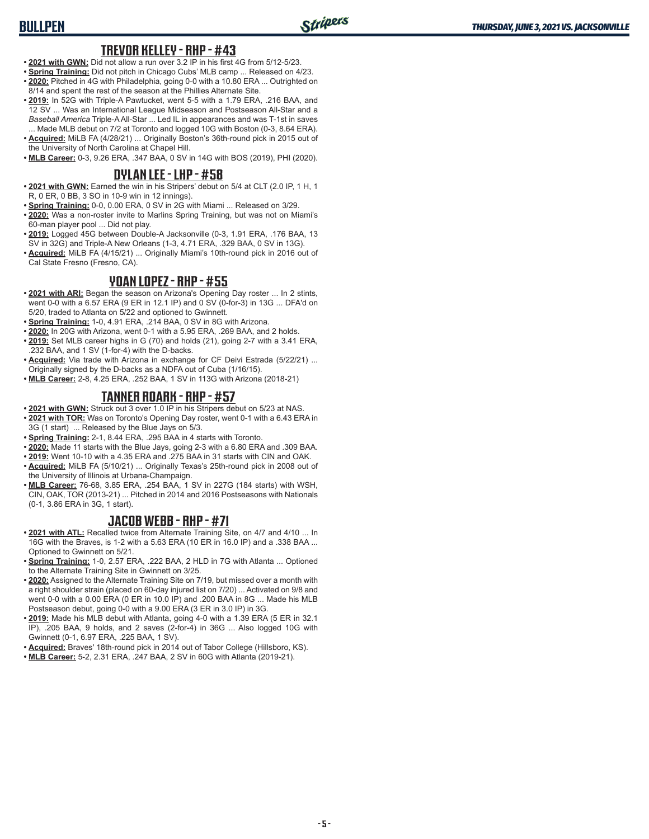# **BULLPEN**

#### **TREVOR KELLEY - RHP - #43**

- **• 2021 with GWN:** Did not allow a run over 3.2 IP in his first 4G from 5/12-5/23.
- **• Spring Training:** Did not pitch in Chicago Cubs' MLB camp ... Released on 4/23. **• 2020:** Pitched in 4G with Philadelphia, going 0-0 with a 10.80 ERA ... Outrighted on
- 8/14 and spent the rest of the season at the Phillies Alternate Site. **• 2019:** In 52G with Triple-A Pawtucket, went 5-5 with a 1.79 ERA, .216 BAA, and 12 SV ... Was an International League Midseason and Postseason All-Star and a *Baseball America* Triple-A All-Star ... Led IL in appearances and was T-1st in saves
- ... Made MLB debut on 7/2 at Toronto and logged 10G with Boston (0-3, 8.64 ERA). **• Acquired:** MiLB FA (4/28/21) ... Originally Boston's 36th-round pick in 2015 out of the University of North Carolina at Chapel Hill.
- **• MLB Career:** 0-3, 9.26 ERA, .347 BAA, 0 SV in 14G with BOS (2019), PHI (2020).

#### **DYLAN LEE - LHP - #58**

- **• 2021 with GWN:** Earned the win in his Stripers' debut on 5/4 at CLT (2.0 IP, 1 H, 1 R, 0 ER, 0 BB, 3 SO in 10-9 win in 12 innings).
- **• Spring Training:** 0-0, 0.00 ERA, 0 SV in 2G with Miami ... Released on 3/29.
- **• 2020:** Was a non-roster invite to Marlins Spring Training, but was not on Miami's 60-man player pool ... Did not play.
- **• 2019:** Logged 45G between Double-A Jacksonville (0-3, 1.91 ERA, .176 BAA, 13 SV in 32G) and Triple-A New Orleans (1-3, 4.71 ERA, .329 BAA, 0 SV in 13G).
- **• Acquired:** MiLB FA (4/15/21) ... Originally Miami's 10th-round pick in 2016 out of Cal State Fresno (Fresno, CA).

#### **YOAN LOPEZ - RHP - #55**

- **• 2021 with ARI:** Began the season on Arizona's Opening Day roster ... In 2 stints, went 0-0 with a 6.57 ERA (9 ER in 12.1 IP) and 0 SV (0-for-3) in 13G ... DFA'd on 5/20, traded to Atlanta on 5/22 and optioned to Gwinnett.
- **• Spring Training:** 1-0, 4.91 ERA, .214 BAA, 0 SV in 8G with Arizona.
- **• 2020:** In 20G with Arizona, went 0-1 with a 5.95 ERA, .269 BAA, and 2 holds.
- **• 2019:** Set MLB career highs in G (70) and holds (21), going 2-7 with a 3.41 ERA, .232 BAA, and 1 SV (1-for-4) with the D-backs.
- **• Acquired:** Via trade with Arizona in exchange for CF Deivi Estrada (5/22/21) ... Originally signed by the D-backs as a NDFA out of Cuba (1/16/15).
- **• MLB Career:** 2-8, 4.25 ERA, .252 BAA, 1 SV in 113G with Arizona (2018-21)

### **TANNER ROARK - RHP - #57**

**• 2021 with GWN:** Struck out 3 over 1.0 IP in his Stripers debut on 5/23 at NAS.

**• 2021 with TOR:** Was on Toronto's Opening Day roster, went 0-1 with a 6.43 ERA in 3G (1 start) ... Released by the Blue Jays on 5/3.

- **• Spring Training:** 2-1, 8.44 ERA, .295 BAA in 4 starts with Toronto.
- **• 2020:** Made 11 starts with the Blue Jays, going 2-3 with a 6.80 ERA and .309 BAA.
- **• 2019:** Went 10-10 with a 4.35 ERA and .275 BAA in 31 starts with CIN and OAK.
- **• Acquired:** MiLB FA (5/10/21) ... Originally Texas's 25th-round pick in 2008 out of the University of Illinois at Urbana-Champaign.
- **• MLB Career:** 76-68, 3.85 ERA, .254 BAA, 1 SV in 227G (184 starts) with WSH, CIN, OAK, TOR (2013-21) ... Pitched in 2014 and 2016 Postseasons with Nationals (0-1, 3.86 ERA in 3G, 1 start).

#### **JACOB WEBB - RHP - #71**

- **• 2021 with ATL:** Recalled twice from Alternate Training Site, on 4/7 and 4/10 ... In 16G with the Braves, is 1-2 with a 5.63 ERA (10 ER in 16.0 IP) and a .338 BAA ... Optioned to Gwinnett on 5/21.
- **• Spring Training:** 1-0, 2.57 ERA, .222 BAA, 2 HLD in 7G with Atlanta ... Optioned to the Alternate Training Site in Gwinnett on 3/25.
- **• 2020:** Assigned to the Alternate Training Site on 7/19, but missed over a month with a right shoulder strain (placed on 60-day injured list on 7/20) ... Activated on 9/8 and went 0-0 with a 0.00 ERA (0 ER in 10.0 IP) and .200 BAA in 8G ... Made his MLB Postseason debut, going 0-0 with a 9.00 ERA (3 ER in 3.0 IP) in 3G.
- **• 2019:** Made his MLB debut with Atlanta, going 4-0 with a 1.39 ERA (5 ER in 32.1 IP), .205 BAA, 9 holds, and 2 saves (2-for-4) in 36G ... Also logged 10G with Gwinnett (0-1, 6.97 ERA, .225 BAA, 1 SV).
- **• Acquired:** Braves' 18th-round pick in 2014 out of Tabor College (Hillsboro, KS).
- **• MLB Career:** 5-2, 2.31 ERA, .247 BAA, 2 SV in 60G with Atlanta (2019-21).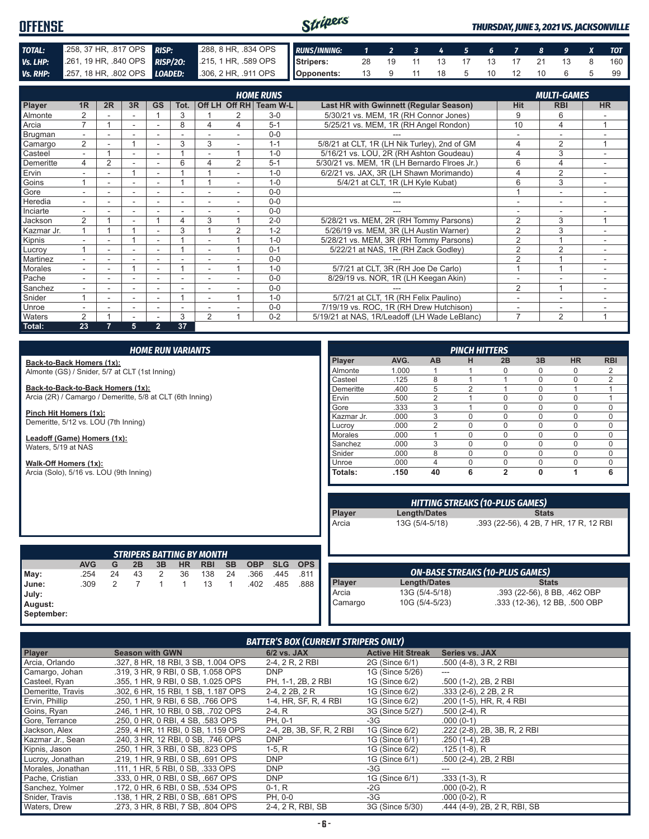#### Stripers **OFFENSE** *THURSDAY, JUNE 3, 2021 VS. JACKSONVILLE TOTAL:* .258, 37 HR, .817 OPS *RISP:* .288, 8 HR, .834 OPS *RUNS/INNING: 1 2 3 4 5 6 7 8 9 X TOT Vs. LHP:* .261, 19 HR, .840 OPS **RISP/20:** .215, 1 HR, .589 OPS **Stripers:** 28 19 11 13 17 13 17 21 13 8 160 *Vs. RHP:* .257, 18 HR, .802 OPS *LOADED:* .306, 2 HR, .911 OPS **Opponents:** 13 9 11 18 5 10 12 10 6 5 99

|                |                          |                |                          |                          |      |                          |                | <b>HOME RUNS</b>       |                                              |                | <b>MULTI-GAMES</b> |           |
|----------------|--------------------------|----------------|--------------------------|--------------------------|------|--------------------------|----------------|------------------------|----------------------------------------------|----------------|--------------------|-----------|
| Player         | 1R                       | 2R             | 3R                       | <b>GS</b>                | Tot. |                          |                | Off LH Off RH Team W-L | Last HR with Gwinnett (Regular Season)       | Hit            | <b>RBI</b>         | <b>HR</b> |
| Almonte        | $\overline{2}$           |                |                          |                          | 3    |                          |                | $3-0$                  | 5/30/21 vs. MEM, 1R (RH Connor Jones)        | 9              | 6                  |           |
| Arcia          | $\overline{ }$           |                |                          |                          | 8    | 4                        | 4              | $5 - 1$                | 5/25/21 vs. MEM, 1R (RH Angel Rondon)        | 10             | 4                  |           |
| Brugman        | $\overline{\phantom{a}}$ |                |                          |                          |      |                          |                | $0 - 0$                |                                              |                |                    |           |
| Camargo        | 2                        |                |                          |                          | 3    | 3                        |                | $1 - 1$                | 5/8/21 at CLT, 1R (LH Nik Turley), 2nd of GM | 4              | $\overline{2}$     |           |
| Casteel        | $\overline{\phantom{0}}$ |                |                          |                          |      |                          |                | $1 - 0$                | 5/16/21 vs. LOU, 2R (RH Ashton Goudeau)      | $\overline{4}$ | 3                  |           |
| Demeritte      | 4                        | $\overline{2}$ |                          |                          | 6    | 4                        | $\overline{2}$ | $5 - 1$                | 5/30/21 vs. MEM, 1R (LH Bernardo Flroes Jr.) | 6              | 4                  | $\sim$    |
| Ervin          | ۰.                       |                | $\overline{ }$           |                          |      |                          |                | $1 - 0$                | 6/2/21 vs. JAX, 3R (LH Shawn Morimando)      | 4              | $\overline{2}$     |           |
| Goins          |                          | ۰              | $\overline{\phantom{a}}$ | $\overline{\phantom{a}}$ |      |                          | ÷              | $1 - 0$                | 5/4/21 at CLT, 1R (LH Kyle Kubat)            | 6              | 3                  |           |
| Gore           |                          | ۰              |                          | $\overline{\phantom{a}}$ |      |                          |                | $0 - 0$                |                                              |                |                    |           |
| Heredia        |                          |                |                          |                          |      |                          |                | $0 - 0$                |                                              |                |                    |           |
| Inciarte       |                          |                |                          |                          |      |                          |                | $0 - 0$                |                                              |                |                    |           |
| Jackson        | 2                        |                | $\sim$                   |                          | 4    | 3                        |                | $2 - 0$                | 5/28/21 vs. MEM, 2R (RH Tommy Parsons)       | $\overline{2}$ | 3                  | 1         |
| Kazmar Jr.     |                          |                |                          |                          | 3    |                          | 2              | $1 - 2$                | 5/26/19 vs. MEM, 3R (LH Austin Warner)       | $\overline{2}$ | 3                  |           |
| Kipnis         |                          |                |                          |                          |      |                          |                | $1 - 0$                | 5/28/21 vs. MEM, 3R (RH Tommy Parsons)       | $\overline{2}$ |                    |           |
| Lucroy         |                          |                |                          |                          |      |                          |                | $0 - 1$                | 5/22/21 at NAS, 1R (RH Zack Godley)          | $\overline{2}$ | $\overline{2}$     | $\sim$    |
| Martinez       | $\overline{\phantom{0}}$ | ٠              |                          |                          |      | $\overline{\phantom{0}}$ |                | $0 - 0$                |                                              | $\overline{2}$ |                    | $\sim$    |
| <b>Morales</b> | $\overline{\phantom{0}}$ | Ξ.             |                          | $\overline{\phantom{a}}$ |      | $\overline{\phantom{a}}$ |                | $1 - 0$                | 5/7/21 at CLT, 3R (RH Joe De Carlo)          |                |                    |           |
| Pache          |                          |                |                          |                          |      |                          |                | $0 - 0$                | 8/29/19 vs. NOR, 1R (LH Keegan Akin)         |                |                    |           |
| Sanchez        |                          |                |                          |                          |      |                          |                | $0 - 0$                |                                              | $\overline{2}$ |                    |           |
| Snider         |                          |                | $\overline{\phantom{a}}$ |                          |      |                          |                | $1 - 0$                | 5/7/21 at CLT, 1R (RH Felix Paulino)         | ä,             | ٠                  |           |
| Unroe          | ٠.                       | ٠              | $\overline{\phantom{a}}$ | $\sim$                   | ۰    |                          |                | $0 - 0$                | 7/19/19 vs. ROC, 1R (RH Drew Hutchison)      | ٠              | ٠                  |           |
| Waters         | $\mathcal{P}$            |                |                          |                          | 3    | $\overline{2}$           |                | $0 - 2$                | 5/19/21 at NAS, 1R/Leadoff (LH Wade LeBlanc) | $\overline{ }$ | $\mathfrak{p}$     |           |
| Total:         | 23                       |                | 5                        | $\overline{2}$           | 37   |                          |                |                        |                                              |                |                    |           |

| <b>HOME RUN VARIANTS</b>                                  |            |                |                |    |              |                                                |           |            |            | <b>PINCH HITTERS</b> |                 |      |                                |                |                                                                                  |                               |             |                |
|-----------------------------------------------------------|------------|----------------|----------------|----|--------------|------------------------------------------------|-----------|------------|------------|----------------------|-----------------|------|--------------------------------|----------------|----------------------------------------------------------------------------------|-------------------------------|-------------|----------------|
| Back-to-Back Homers (1x):                                 |            |                |                |    |              |                                                |           |            |            |                      | Player          | AVG. | AB                             | н              | 2B                                                                               | 3B                            | <b>HR</b>   | <b>RBI</b>     |
| Almonte (GS) / Snider, 5/7 at CLT (1st Inning)            |            |                |                |    |              |                                                | Almonte   | 1.000      |            |                      | O               |      | $\mathbf 0$                    | $\overline{2}$ |                                                                                  |                               |             |                |
|                                                           |            |                |                |    |              |                                                |           |            |            |                      | Casteel         | .125 | 8                              |                |                                                                                  | $\Omega$                      | $\mathbf 0$ | $\overline{2}$ |
| Back-to-Back-to-Back Homers (1x):                         |            |                |                |    |              |                                                |           |            | Demeritte  | .400                 | 5               |      |                                | $\Omega$       |                                                                                  |                               |             |                |
| Arcia (2R) / Camargo / Demeritte, 5/8 at CLT (6th Inning) |            |                |                |    |              |                                                |           |            |            |                      | Ervin           | .500 | $\overline{2}$                 |                | $\Omega$                                                                         | $\Omega$                      | $\mathbf 0$ | 1              |
|                                                           |            |                |                |    |              |                                                |           |            |            |                      | Gore            | .333 | 3                              |                | 0                                                                                | $\Omega$                      | $\mathbf 0$ | 0              |
| Pinch Hit Homers (1x):                                    |            |                |                |    |              |                                                |           |            |            |                      | Kazmar Jr.      | .000 | 3                              | $\Omega$       | $\Omega$                                                                         | $\cap$                        | $\mathbf 0$ | $\mathbf 0$    |
| Demeritte, 5/12 vs. LOU (7th Inning)                      |            |                |                |    |              |                                                |           |            |            |                      | Lucrov          | .000 | 2                              | $\Omega$       | $\Omega$                                                                         | $\Omega$                      | $\mathbf 0$ | $\mathbf 0$    |
| Leadoff (Game) Homers (1x):                               |            |                |                |    |              |                                                |           |            |            |                      | <b>Morales</b>  | .000 |                                | $\mathbf{0}$   | 0                                                                                |                               | $\mathbf 0$ | $\mathbf 0$    |
| Waters, 5/19 at NAS                                       |            |                |                |    |              |                                                |           |            |            |                      | Sanchez         | .000 | 3                              | $\Omega$       | $\Omega$                                                                         | $\Omega$                      | $\mathbf 0$ | $\mathbf 0$    |
|                                                           |            |                |                |    |              |                                                |           |            |            |                      | Snider          | .000 | 8                              | $\mathbf 0$    | 0                                                                                | $\Omega$                      | $\mathbf 0$ | 0              |
| Walk-Off Homers (1x):                                     |            |                |                |    |              |                                                |           |            |            |                      | Unroe           | .000 | 4                              | $\Omega$       | $\Omega$                                                                         | $\Omega$                      | $\mathbf 0$ | 0              |
| Arcia (Solo), 5/16 vs. LOU (9th Inning)                   |            |                |                |    |              |                                                |           |            |            |                      | Totals:         | .150 | 40                             | 6              | $\overline{2}$                                                                   | 0                             | 1           | 6              |
|                                                           |            |                |                |    |              |                                                |           |            |            |                      | Player<br>Arcia |      | Length/Dates<br>13G (5/4-5/18) |                | <b>HITTING STREAKS (10-PLUS GAMES)</b><br>.393 (22-56), 4 2B, 7 HR, 17 R, 12 RBI | <b>Stats</b>                  |             |                |
|                                                           | <b>AVG</b> | G              | 2B             | 3B | <b>HR</b>    | <b>STRIPERS BATTING BY MONTH</b><br><b>RBI</b> | <b>SB</b> | <b>OBP</b> | <b>SLG</b> | <b>OPS</b>           |                 |      |                                |                |                                                                                  |                               |             |                |
| May:                                                      | .254       | 24             | 43             | 2  | 36           | 138                                            | 24        | .366       | .445       | .811                 |                 |      |                                |                | <b>ON-BASE STREAKS (10-PLUS GAMES)</b>                                           |                               |             |                |
| June:                                                     | .309       | $\mathfrak{D}$ | $\overline{7}$ | 1  | $\mathbf{1}$ | 13                                             | 1         | .402       | .485       | .888                 | Player          |      | Length/Dates                   |                |                                                                                  | <b>Stats</b>                  |             |                |
| July:                                                     |            |                |                |    |              |                                                |           |            |            |                      | Arcia           |      | 13G (5/4-5/18)                 |                |                                                                                  | .393 (22-56), 8 BB, .462 OBP  |             |                |
| August:                                                   |            |                |                |    |              |                                                |           |            |            |                      | Camargo         |      | 10G (5/4-5/23)                 |                |                                                                                  | .333 (12-36), 12 BB, .500 OBP |             |                |

| August:<br>September: |
|-----------------------|

#### *BATTER'S BOX (CURRENT STRIPERS ONLY)*

| Player            | <b>Season with GWN</b>              | 6/2 vs. JAX               | <b>Active Hit Streak</b> | <b>Series vs. JAX</b>        |
|-------------------|-------------------------------------|---------------------------|--------------------------|------------------------------|
| Arcia, Orlando    | .327, 8 HR, 18 RBI, 3 SB, 1.004 OPS | 2-4, 2 R, 2 RBI           | 2G (Since 6/1)           | $.500(4-8)$ , 3 R, 2 RBI     |
| Camargo, Johan    | .319. 3 HR. 9 RBI. 0 SB. 1.058 OPS  | <b>DNP</b>                | 1G (Since 5/26)          | ---                          |
| Casteel, Ryan     | .355. 1 HR. 9 RBI. 0 SB. 1.025 OPS  | PH, 1-1, 2B, 2 RBI        | 1G (Since 6/2)           | .500 (1-2), 2B, 2 RBI        |
| Demeritte, Travis | .302, 6 HR, 15 RBI, 1 SB, 1.187 OPS | 2-4, 2 2B, 2 R            | 1G (Since 6/2)           | $.333(2-6), 22B, 2R$         |
| Ervin, Phillip    | .250, 1 HR, 9 RBI, 6 SB, .766 OPS   | 1-4, HR, SF, R, 4 RBI     | 1G (Since 6/2)           | .200 (1-5), HR, R, 4 RBI     |
| Goins, Ryan       | .246, 1 HR, 10 RBI, 0 SB, .702 OPS  | $2-4, R$                  | 3G (Since 5/27)          | .500 (2-4), R                |
| Gore, Terrance    | .250, 0 HR, 0 RBI, 4 SB, .583 OPS   | PH. 0-1                   | $-3G$                    | $.000(0-1)$                  |
| Jackson, Alex     | .259, 4 HR, 11 RBI, 0 SB, 1.159 OPS | 2-4, 2B, 3B, SF, R, 2 RBI | 1G (Since 6/2)           | .222 (2-8), 2B, 3B, R, 2 RBI |
| Kazmar Jr., Sean  | .240. 3 HR. 12 RBI. 0 SB. .746 OPS  | <b>DNP</b>                | 1G (Since 6/1)           | .250 (1-4), 2B               |
| Kipnis, Jason     | .250, 1 HR, 3 RBI, 0 SB, .823 OPS   | $1-5, R$                  | 1G (Since 6/2)           | $.125(1-8)$ , R              |
| Lucroy, Jonathan  | .219, 1 HR, 9 RBI, 0 SB, .691 OPS   | <b>DNP</b>                | 1G (Since 6/1)           | .500 (2-4), 2B, 2 RBI        |
| Morales, Jonathan | .111, 1 HR, 5 RBI, 0 SB, .333 OPS   | <b>DNP</b>                | $-3G$                    | ---                          |
| Pache, Cristian   | .333, 0 HR, 0 RBI, 0 SB, .667 OPS   | <b>DNP</b>                | 1G (Since 6/1)           | $.333(1-3)$ , R              |
| Sanchez, Yolmer   | .172, 0 HR, 6 RBI, 0 SB, .534 OPS   | $0-1, R$                  | $-2G$                    | $.000(0-2)$ , R              |
| Snider, Travis    | .138, 1 HR, 2 RBI, 0 SB, .681 OPS   | PH, 0-0                   | $-3G$                    | $.000(0-2)$ , R              |
| Waters, Drew      | .273. 3 HR. 8 RBI. 7 SB. .804 OPS   | 2-4, 2 R, RBI, SB         | 3G (Since 5/30)          | .444 (4-9), 2B, 2R, RBI, SB  |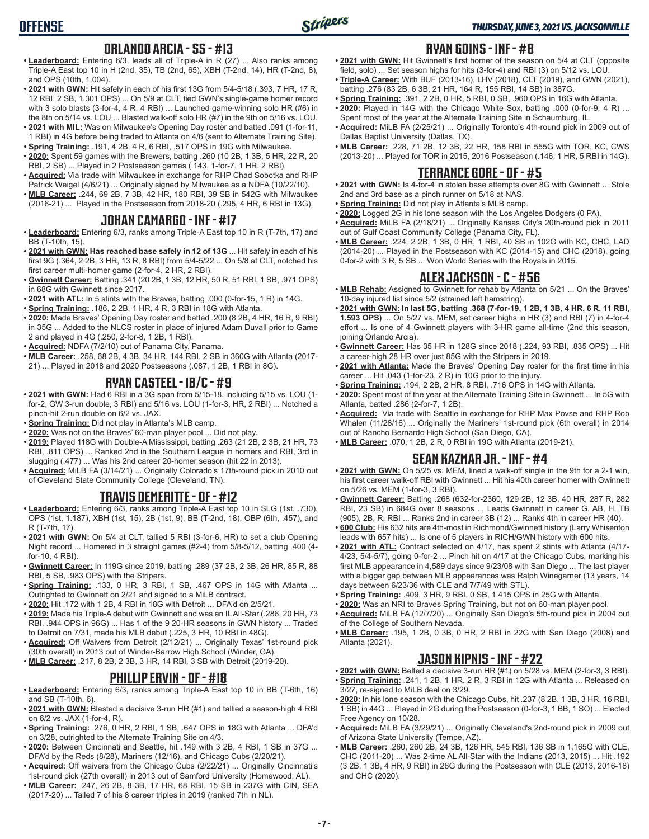# **OFFENSE**

#### **ORLANDO ARCIA - SS - #13**

- **• Leaderboard:** Entering 6/3, leads all of Triple-A in R (27) ... Also ranks among Triple-A East top 10 in H (2nd, 35), TB (2nd, 65), XBH (T-2nd, 14), HR (T-2nd, 8), and OPS (10th, 1.004).
- **• 2021 with GWN:** Hit safely in each of his first 13G from 5/4-5/18 (.393, 7 HR, 17 R, 12 RBI, 2 SB, 1.301 OPS) ... On 5/9 at CLT, tied GWN's single-game homer record with 3 solo blasts (3-for-4, 4 R, 4 RBI) ... Launched game-winning solo HR (#6) in the 8th on 5/14 vs. LOU ... Blasted walk-off solo HR (#7) in the 9th on 5/16 vs. LOU.
- **• 2021 with MIL:** Was on Milwaukee's Opening Day roster and batted .091 (1-for-11, 1 RBI) in 4G before being traded to Atlanta on 4/6 (sent to Alternate Training Site).
- **• Spring Training:** .191, 4 2B, 4 R, 6 RBI, .517 OPS in 19G with Milwaukee. **• 2020:** Spent 59 games with the Brewers, batting .260 (10 2B, 1 3B, 5 HR, 22 R, 20 RBI, 2 SB) ... Played in 2 Postseason games (.143, 1-for-7, 1 HR, 2 RBI).
- **• Acquired:** Via trade with Milwaukee in exchange for RHP Chad Sobotka and RHP Patrick Weigel (4/6/21) ... Originally signed by Milwaukee as a NDFA (10/22/10).
- **• MLB Career:** .244, 69 2B, 7 3B, 42 HR, 180 RBI, 39 SB in 542G with Milwaukee (2016-21) ... Played in the Postseason from 2018-20 (.295, 4 HR, 6 RBI in 13G).

#### **JOHAN CAMARGO - INF - #17**

- **• Leaderboard:** Entering 6/3, ranks among Triple-A East top 10 in R (T-7th, 17) and BB (T-10th, 15).
- **• 2021 with GWN: Has reached base safely in 12 of 13G** ... Hit safely in each of his first 9G (.364, 2 2B, 3 HR, 13 R, 8 RBI) from 5/4-5/22 ... On 5/8 at CLT, notched his first career multi-homer game (2-for-4, 2 HR, 2 RBI).
- **• Gwinnett Career:** Batting .341 (20 2B, 1 3B, 12 HR, 50 R, 51 RBI, 1 SB, .971 OPS) in 68G with Gwinnett since 2017.
- **• 2021 with ATL:** In 5 stints with the Braves, batting .000 (0-for-15, 1 R) in 14G.
- **• Spring Training:** .186, 2 2B, 1 HR, 4 R, 3 RBI in 18G with Atlanta.
- **• 2020:** Made Braves' Opening Day roster and batted .200 (8 2B, 4 HR, 16 R, 9 RBI) in 35G ... Added to the NLCS roster in place of injured Adam Duvall prior to Game 2 and played in 4G (.250, 2-for-8, 1 2B, 1 RBI).
- **• Acquired:** NDFA (7/2/10) out of Panama City, Panama.
- **• MLB Career:** .258, 68 2B, 4 3B, 34 HR, 144 RBI, 2 SB in 360G with Atlanta (2017- 21) ... Played in 2018 and 2020 Postseasons (.087, 1 2B, 1 RBI in 8G).

#### **RYAN CASTEEL - 1B/C - #9**

- **• 2021 with GWN:** Had 6 RBI in a 3G span from 5/15-18, including 5/15 vs. LOU (1 for-2, GW 3-run double, 3 RBI) and 5/16 vs. LOU (1-for-3, HR, 2 RBI) ... Notched a pinch-hit 2-run double on 6/2 vs. JAX.
- **• Spring Training:** Did not play in Atlanta's MLB camp.
- **• 2020:** Was not on the Braves' 60-man player pool ... Did not play.
- **• 2019:** Played 118G with Double-A Mississippi, batting .263 (21 2B, 2 3B, 21 HR, 73 RBI, .811 OPS) ... Ranked 2nd in the Southern League in homers and RBI, 3rd in slugging (.477) ... Was his 2nd career 20-homer season (hit 22 in 2013).
- **• Acquired:** MiLB FA (3/14/21) ... Originally Colorado's 17th-round pick in 2010 out of Cleveland State Community College (Cleveland, TN).

### **TRAVIS DEMERITTE - OF - #12**

- **• Leaderboard:** Entering 6/3, ranks among Triple-A East top 10 in SLG (1st, .730), OPS (1st, 1.187), XBH (1st, 15), 2B (1st, 9), BB (T-2nd, 18), OBP (6th, .457), and R (T-7th, 17).
- **• 2021 with GWN:** On 5/4 at CLT, tallied 5 RBI (3-for-6, HR) to set a club Opening Night record ... Homered in 3 straight games (#2-4) from 5/8-5/12, batting .400 (4 for-10, 4 RBI).
- **• Gwinnett Career:** In 119G since 2019, batting .289 (37 2B, 2 3B, 26 HR, 85 R, 88 RBI, 5 SB, .983 OPS) with the Stripers.
- **• Spring Training:** .133, 0 HR, 3 RBI, 1 SB, .467 OPS in 14G with Atlanta ... Outrighted to Gwinnett on 2/21 and signed to a MiLB contract.
- **• 2020:** Hit .172 with 1 2B, 4 RBI in 18G with Detroit ... DFA'd on 2/5/21.
- **• 2019:** Made his Triple-A debut with Gwinnett and was an IL All-Star (.286, 20 HR, 73 RBI, .944 OPS in 96G) ... Has 1 of the 9 20-HR seasons in GWN history ... Traded to Detroit on 7/31, made his MLB debut (.225, 3 HR, 10 RBI in 48G).
- **• Acquired:** Off Waivers from Detroit (2/12/21) ... Originally Texas' 1st-round pick (30th overall) in 2013 out of Winder-Barrow High School (Winder, GA).
- **• MLB Career:** .217, 8 2B, 2 3B, 3 HR, 14 RBI, 3 SB with Detroit (2019-20).

#### **PHILLIP ERVIN - OF - #18**

- **• Leaderboard:** Entering 6/3, ranks among Triple-A East top 10 in BB (T-6th, 16) and SB (T-10th, 6).
- **• 2021 with GWN:** Blasted a decisive 3-run HR (#1) and tallied a season-high 4 RBI on 6/2 vs. JAX (1-for-4, R).
- **• Spring Training:** .276, 0 HR, 2 RBI, 1 SB, .647 OPS in 18G with Atlanta ... DFA'd on 3/28, outrighted to the Alternate Training Site on 4/3.
- **• 2020:** Between Cincinnati and Seattle, hit .149 with 3 2B, 4 RBI, 1 SB in 37G ... DFA'd by the Reds (8/28), Mariners (12/16), and Chicago Cubs (2/20/21).
- **• Acquired:** Off waivers from the Chicago Cubs (2/22/21) ... Originally Cincinnati's 1st-round pick (27th overall) in 2013 out of Samford University (Homewood, AL).
- **• MLB Career:** .247, 26 2B, 8 3B, 17 HR, 68 RBI, 15 SB in 237G with CIN, SEA (2017-20) ... Talled 7 of his 8 career triples in 2019 (ranked 7th in NL).

#### **RYAN GOINS - INF - #8**

- **• 2021 with GWN:** Hit Gwinnett's first homer of the season on 5/4 at CLT (opposite field, solo) ... Set season highs for hits (3-for-4) and RBI (3) on 5/12 vs. LOU.
- **• Triple-A Career:** With BUF (2013-16), LHV (2018), CLT (2019), and GWN (2021), batting .276 (83 2B, 6 3B, 21 HR, 164 R, 155 RBI, 14 SB) in 387G.
- **• Spring Training:** .391, 2 2B, 0 HR, 5 RBI, 0 SB, .960 OPS in 16G with Atlanta.
- **• 2020:** Played in 14G with the Chicago White Sox, batting .000 (0-for-9, 4 R) ... Spent most of the year at the Alternate Training Site in Schaumburg, IL.
- **• Acquired:** MiLB FA (2/25/21) ... Originally Toronto's 4th-round pick in 2009 out of Dallas Baptist University (Dallas, TX).
- **• MLB Career:** .228, 71 2B, 12 3B, 22 HR, 158 RBI in 555G with TOR, KC, CWS (2013-20) ... Played for TOR in 2015, 2016 Postseason (.146, 1 HR, 5 RBI in 14G).

#### **TERRANCE GORE - OF - #5**

- **• 2021 with GWN:** Is 4-for-4 in stolen base attempts over 8G with Gwinnett ... Stole 2nd and 3rd base as a pinch runner on 5/18 at NAS.
- **• Spring Training:** Did not play in Atlanta's MLB camp.
- **• 2020:** Logged 2G in his lone season with the Los Angeles Dodgers (0 PA).
- **• Acquired:** MiLB FA (2/18/21) ... Originally Kansas City's 20th-round pick in 2011 out of Gulf Coast Community College (Panama City, FL).
- **• MLB Career:** .224, 2 2B, 1 3B, 0 HR, 1 RBI, 40 SB in 102G with KC, CHC, LAD (2014-20) ... Played in the Postseason with KC (2014-15) and CHC (2018), going 0-for-2 with 3 R, 5 SB ... Won World Series with the Royals in 2015.

#### **ALEX JACKSON - C - #56**

- **• MLB Rehab:** Assigned to Gwinnett for rehab by Atlanta on 5/21 ... On the Braves' 10-day injured list since 5/2 (strained left hamstring).
- **• 2021 with GWN: In last 5G, batting .368 (7-for-19, 1 2B, 1 3B, 4 HR, 6 R, 11 RBI, 1.593 OPS)** ... On 5/27 vs. MEM, set career highs in HR (3) and RBI (7) in 4-for-4 effort ... Is one of 4 Gwinnett players with 3-HR game all-time (2nd this season, joining Orlando Arcia).
- **• Gwinnett Career:** Has 35 HR in 128G since 2018 (.224, 93 RBI, .835 OPS) ... Hit a career-high 28 HR over just 85G with the Stripers in 2019.
- **• 2021 with Atlanta:** Made the Braves' Opening Day roster for the first time in his career ... Hit .043 (1-for-23, 2 R) in 10G prior to the injury.
- **• Spring Training:** .194, 2 2B, 2 HR, 8 RBI, .716 OPS in 14G with Atlanta.
- **• 2020:** Spent most of the year at the Alternate Training Site in Gwinnett ... In 5G with Atlanta, batted .286 (2-for-7, 1 2B).
- **• Acquired:** Via trade with Seattle in exchange for RHP Max Povse and RHP Rob Whalen (11/28/16) ... Originally the Mariners' 1st-round pick (6th overall) in 2014 out of Rancho Bernardo High School (San Diego, CA).
- **• MLB Career:** .070, 1 2B, 2 R, 0 RBI in 19G with Atlanta (2019-21).

### **SEAN KAZMAR JR. - INF - #4**

- **• 2021 with GWN:** On 5/25 vs. MEM, lined a walk-off single in the 9th for a 2-1 win, his first career walk-off RBI with Gwinnett ... Hit his 40th career homer with Gwinnett on 5/26 vs. MEM (1-for-3, 3 RBI).
- **• Gwinnett Career:** Batting .268 (632-for-2360, 129 2B, 12 3B, 40 HR, 287 R, 282 RBI, 23 SB) in 684G over 8 seasons ... Leads Gwinnett in career G, AB, H, TB (905), 2B, R, RBI ... Ranks 2nd in career 3B (12) ... Ranks 4th in career HR (40).
- **• 600 Club:** His 632 hits are 4th-most in Richmond/Gwinnett history (Larry Whisenton leads with 657 hits) ... Is one of 5 players in RICH/GWN history with 600 hits.
- **• 2021 with ATL:** Contract selected on 4/17, has spent 2 stints with Atlanta (4/17- 4/23, 5/4-5/7), going 0-for-2 ... Pinch hit on 4/17 at the Chicago Cubs, marking his first MLB appearance in 4,589 days since 9/23/08 with San Diego ... The last player with a bigger gap between MLB appearances was Ralph Winegarner (13 years, 14 days between 6/23/36 with CLE and 7/7/49 with STL).
- **• Spring Training:** .409, 3 HR, 9 RBI, 0 SB, 1.415 OPS in 25G with Atlanta.
- **• 2020:** Was an NRI to Braves Spring Training, but not on 60-man player pool.
- **• Acquired:** MiLB FA (12/7/20) ... Originally San Diego's 5th-round pick in 2004 out of the College of Southern Nevada.
- **• MLB Career:** .195, 1 2B, 0 3B, 0 HR, 2 RBI in 22G with San Diego (2008) and Atlanta (2021).

### **JASON KIPNIS - INF - #22**

- **• 2021 with GWN:** Belted a decisive 3-run HR (#1) on 5/28 vs. MEM (2-for-3, 3 RBI). **• Spring Training:** .241, 1 2B, 1 HR, 2 R, 3 RBI in 12G with Atlanta ... Released on
- 3/27, re-signed to MiLB deal on 3/29. **• 2020:** In his lone season with the Chicago Cubs, hit .237 (8 2B, 1 3B, 3 HR, 16 RBI, 1 SB) in 44G ... Played in 2G during the Postseason (0-for-3, 1 BB, 1 SO) ... Elected Free Agency on 10/28.
- **• Acquired:** MiLB FA (3/29/21) ... Originally Cleveland's 2nd-round pick in 2009 out of Arizona State University (Tempe, AZ).
- **• MLB Career:** .260, 260 2B, 24 3B, 126 HR, 545 RBI, 136 SB in 1,165G with CLE, CHC (2011-20) ... Was 2-time AL All-Star with the Indians (2013, 2015) ... Hit .192 (3 2B, 1 3B, 4 HR, 9 RBI) in 26G during the Postseason with CLE (2013, 2016-18) and CHC (2020).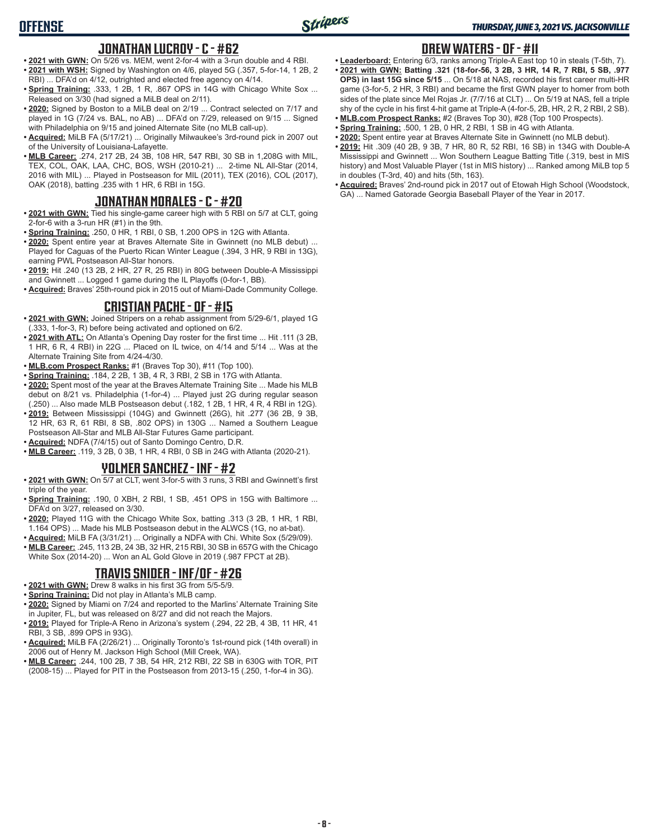# **OFFENSE**

#### **JONATHAN LUCROY - C - #62**

- **• 2021 with GWN:** On 5/26 vs. MEM, went 2-for-4 with a 3-run double and 4 RBI. **• 2021 with WSH:** Signed by Washington on 4/6, played 5G (.357, 5-for-14, 1 2B, 2 RBI) ... DFA'd on 4/12, outrighted and elected free agency on 4/14.
- **Spring Training: .333, 1 2B, 1 R, .867 OPS in 14G with Chicago White Sox ...** Released on 3/30 (had signed a MiLB deal on 2/11).
- **• 2020:** Signed by Boston to a MiLB deal on 2/19 ... Contract selected on 7/17 and played in 1G (7/24 vs. BAL, no AB) ... DFA'd on 7/29, released on 9/15 ... Signed with Philadelphia on 9/15 and joined Alternate Site (no MLB call-up).
- **• Acquired:** MiLB FA (5/17/21) ... Originally Milwaukee's 3rd-round pick in 2007 out of the University of Louisiana-Lafayette.
- **• MLB Career:** .274, 217 2B, 24 3B, 108 HR, 547 RBI, 30 SB in 1,208G with MIL, TEX, COL, OAK, LAA, CHC, BOS, WSH (2010-21) ... 2-time NL All-Star (2014, 2016 with MIL) ... Played in Postseason for MIL (2011), TEX (2016), COL (2017), OAK (2018), batting .235 with 1 HR, 6 RBI in 15G.

#### **JONATHAN MORALES - C - #20**

- **• 2021 with GWN:** Tied his single-game career high with 5 RBI on 5/7 at CLT, going 2-for-6 with a 3-run HR (#1) in the 9th.
- **• Spring Training:** .250, 0 HR, 1 RBI, 0 SB, 1.200 OPS in 12G with Atlanta.
- **• 2020:** Spent entire year at Braves Alternate Site in Gwinnett (no MLB debut) ... Played for Caguas of the Puerto Rican Winter League (.394, 3 HR, 9 RBI in 13G), earning PWL Postseason All-Star honors.
- **• 2019:** Hit .240 (13 2B, 2 HR, 27 R, 25 RBI) in 80G between Double-A Mississippi and Gwinnett ... Logged 1 game during the IL Playoffs (0-for-1, BB).
- **• Acquired:** Braves' 25th-round pick in 2015 out of Miami-Dade Community College.

#### **CRISTIAN PACHE - OF - #15**

- **• 2021 with GWN:** Joined Stripers on a rehab assignment from 5/29-6/1, played 1G (.333, 1-for-3, R) before being activated and optioned on 6/2.
- **• 2021 with ATL:** On Atlanta's Opening Day roster for the first time ... Hit .111 (3 2B, 1 HR, 6 R, 4 RBI) in 22G ... Placed on IL twice, on 4/14 and 5/14 ... Was at the Alternate Training Site from 4/24-4/30.
- **• MLB.com Prospect Ranks:** #1 (Braves Top 30), #11 (Top 100).
- **• Spring Training:** .184, 2 2B, 1 3B, 4 R, 3 RBI, 2 SB in 17G with Atlanta.
- **• 2020:** Spent most of the year at the Braves Alternate Training Site ... Made his MLB debut on 8/21 vs. Philadelphia (1-for-4) ... Played just 2G during regular season (.250) ... Also made MLB Postseason debut (.182, 1 2B, 1 HR, 4 R, 4 RBI in 12G).
- **• 2019:** Between Mississippi (104G) and Gwinnett (26G), hit .277 (36 2B, 9 3B, 12 HR, 63 R, 61 RBI, 8 SB, .802 OPS) in 130G ... Named a Southern League
- Postseason All-Star and MLB All-Star Futures Game participant.
- **• Acquired:** NDFA (7/4/15) out of Santo Domingo Centro, D.R.
- **• MLB Career:** .119, 3 2B, 0 3B, 1 HR, 4 RBI, 0 SB in 24G with Atlanta (2020-21).

#### **YOLMER SANCHEZ - INF - #2**

- **• 2021 with GWN:** On 5/7 at CLT, went 3-for-5 with 3 runs, 3 RBI and Gwinnett's first triple of the year.
- **• Spring Training:** .190, 0 XBH, 2 RBI, 1 SB, .451 OPS in 15G with Baltimore ... DFA'd on 3/27, released on 3/30.
- **• 2020:** Played 11G with the Chicago White Sox, batting .313 (3 2B, 1 HR, 1 RBI, 1.164 OPS) ... Made his MLB Postseason debut in the ALWCS (1G, no at-bat).
- **• Acquired:** MiLB FA (3/31/21) ... Originally a NDFA with Chi. White Sox (5/29/09).
- **• MLB Career:** .245, 113 2B, 24 3B, 32 HR, 215 RBI, 30 SB in 657G with the Chicago White Sox (2014-20) ... Won an AL Gold Glove in 2019 (.987 FPCT at 2B).

#### **TRAVIS SNIDER - INF/OF - #26**

- **• 2021 with GWN:** Drew 8 walks in his first 3G from 5/5-5/9.
- **• Spring Training:** Did not play in Atlanta's MLB camp.
- **• 2020:** Signed by Miami on 7/24 and reported to the Marlins' Alternate Training Site in Jupiter, FL, but was released on 8/27 and did not reach the Majors.
- **• 2019:** Played for Triple-A Reno in Arizona's system (.294, 22 2B, 4 3B, 11 HR, 41 RBI, 3 SB, .899 OPS in 93G).
- **• Acquired:** MiLB FA (2/26/21) ... Originally Toronto's 1st-round pick (14th overall) in 2006 out of Henry M. Jackson High School (Mill Creek, WA).
- **• MLB Career:** .244, 100 2B, 7 3B, 54 HR, 212 RBI, 22 SB in 630G with TOR, PIT (2008-15) ... Played for PIT in the Postseason from 2013-15 (.250, 1-for-4 in 3G).

#### **DREW WATERS - OF - #11**

- **• Leaderboard:** Entering 6/3, ranks among Triple-A East top 10 in steals (T-5th, 7). **• 2021 with GWN: Batting .321 (18-for-56, 3 2B, 3 HR, 14 R, 7 RBI, 5 SB, .977 OPS) in last 15G since 5/15** ... On 5/18 at NAS, recorded his first career multi-HR game (3-for-5, 2 HR, 3 RBI) and became the first GWN player to homer from both sides of the plate since Mel Rojas Jr. (7/7/16 at CLT) ... On 5/19 at NAS, fell a triple shy of the cycle in his first 4-hit game at Triple-A (4-for-5, 2B, HR, 2 R, 2 RBI, 2 SB).
- **• MLB.com Prospect Ranks:** #2 (Braves Top 30), #28 (Top 100 Prospects). **• Spring Training:** .500, 1 2B, 0 HR, 2 RBI, 1 SB in 4G with Atlanta.
- **• 2020:** Spent entire year at Braves Alternate Site in Gwinnett (no MLB debut).
- **• 2019:** Hit .309 (40 2B, 9 3B, 7 HR, 80 R, 52 RBI, 16 SB) in 134G with Double-A Mississippi and Gwinnett ... Won Southern League Batting Title (.319, best in MIS history) and Most Valuable Player (1st in MIS history) ... Ranked among MiLB top 5 in doubles (T-3rd, 40) and hits (5th, 163).
- **• Acquired:** Braves' 2nd-round pick in 2017 out of Etowah High School (Woodstock, GA) ... Named Gatorade Georgia Baseball Player of the Year in 2017.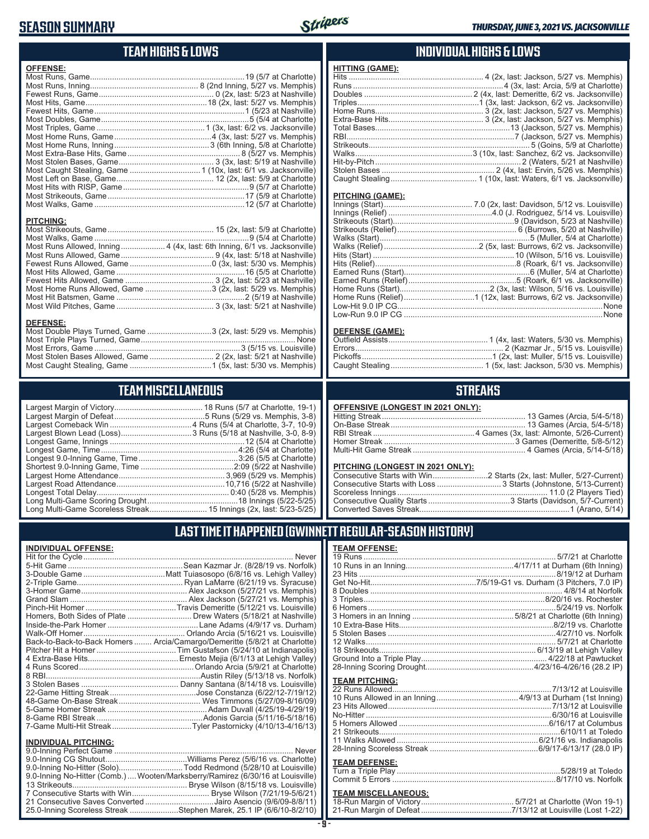## **SEASON SUMMARY**



#### **TEAM HIGHS & LOWS**

| <b>OFFENSE:</b>  |                                                                          |
|------------------|--------------------------------------------------------------------------|
|                  |                                                                          |
|                  |                                                                          |
|                  |                                                                          |
|                  |                                                                          |
|                  |                                                                          |
|                  |                                                                          |
|                  |                                                                          |
|                  |                                                                          |
|                  |                                                                          |
|                  |                                                                          |
|                  |                                                                          |
| <b>PITCHING:</b> |                                                                          |
|                  |                                                                          |
|                  |                                                                          |
|                  | Most Runs Allowed, Inning 4 (4x, last: 6th Inning, 6/1 vs. Jacksonville) |
|                  |                                                                          |
|                  |                                                                          |
|                  |                                                                          |
|                  |                                                                          |
|                  | Most Home Runs Allowed, Game 3 (2x, last: 5/29 vs. Memphis)              |

Most Hit Batsmen, Game ..........................................................2 (5/19 at Nashville) Most Wild Pitches, Game ............................................ 3 (3x, last: 5/21 at Nashville)

Most Double Plays Turned, Game .............................3 (2x, last: 5/29 vs. Memphis) Most Triple Plays Turned, Game ...................................................................... None Most Errors, Game ..................................................................3 (5/15 vs. Louisville) Most Stolen Bases Allowed, Game ............................. 2 (2x, last: 5/21 at Nashville) Most Caught Stealing, Game .....................................1 (5x, last: 5/30 vs. Memphis)

**TEAM MISCELLANEOUS** Largest Margin of Victory........................................ 18 Runs (5/7 at Charlotte, 19-1) Largest Margin of Defeat .........................................5 Runs (5/29 vs. Memphis, 3-8) Largest Comeback Win .....................................4 Runs (5/4 at Charlotte, 3-7, 10-9) Largest Blown Lead (Loss) ................................3 Runs (5/18 at Nashville, 3-0, 8-9) Longest Game, Innings .............................................................12 (5/4 at Charlotte) Longest Game, Time ..............................................................4:26 (5/4 at Charlotte) Longest 9.0-Inning Game, Time .............................................3:26 (5/5 at Charlotte) Shortest 9.0-Inning Game, Time ..........................................2:09 (5/22 at Nashville) Largest Home Attendance ................................................ 3,969 (5/29 vs. Memphis) Largest Road Attendance .................................................10,716 (5/22 at Nashville) Longest Total Delay............................................................ 0:40 (5/28 vs. Memphis) Long Multi-Game Scoring Drought .........................................18 Innings (5/22-5/25) Long Multi-Game Scoreless Streak .......................... 15 Innings (2x, last: 5/23-5/25)

#### **INDIVIDUAL HIGHS & LOWS**

| <u>HITTING (GAME):</u> |  |
|------------------------|--|
|                        |  |
|                        |  |
|                        |  |
|                        |  |
|                        |  |
|                        |  |
|                        |  |
|                        |  |
|                        |  |
|                        |  |
|                        |  |
|                        |  |
|                        |  |
| PITCHING (GAME):       |  |
|                        |  |
|                        |  |
|                        |  |
|                        |  |
|                        |  |
|                        |  |
|                        |  |
|                        |  |
|                        |  |
|                        |  |

#### **DEFENSE (GAME):**

Home Runs (Start).........................................2 (3x, last: Wilson, 5/16 vs. Louisville) Home Runs (Relief)................................1 (12x, last: Burrows, 6/2 vs. Jacksonville) Low-Hit 9.0 IP CG.............................................................................................None Low-Run 9.0 IP CG ..........................................................................................None

#### **STREAKS**

#### **PITCHING (LONGEST IN 2021 ONLY):**

#### **LAST TIME IT HAPPENED (GWINNETT REGULAR-SEASON HISTORY)**

**TEAM OFFENSE:**

#### **INDIVIDUAL OFFENSE:**

**DEFENSE:**

|                                | Homers, Both Sides of Plate Drew Waters (5/18/21 at Nashville)             |
|--------------------------------|----------------------------------------------------------------------------|
|                                |                                                                            |
|                                |                                                                            |
|                                | Back-to-Back-to-Back Homers  Arcia/Camargo/Demeritte (5/8/21 at Charlotte) |
|                                |                                                                            |
|                                |                                                                            |
|                                |                                                                            |
|                                |                                                                            |
|                                |                                                                            |
|                                |                                                                            |
|                                |                                                                            |
|                                |                                                                            |
|                                |                                                                            |
|                                |                                                                            |
| <b>INDIVIDUAL PITCHING:</b>    |                                                                            |
| <b>9 O-Inning Perfect Game</b> | Never                                                                      |

| 9.0-Inning No-Hitter (Comb.) Wooten/Marksberry/Ramirez (6/30/16 at Louisville) |  |
|--------------------------------------------------------------------------------|--|
|                                                                                |  |
|                                                                                |  |
| 21 Consecutive Saves Converted Jairo Asencio (9/6/09-8/8/11)                   |  |
| 25.0-Inning Scoreless Streak Stephen Marek, 25.1 IP (6/6/10-8/2/10)            |  |
|                                                                                |  |

#### **- 9 -**

#### 12 Walks...................................................................................... 5/7/21 at Charlotte 18 Strikeouts....................................................................... 6/13/19 at Lehigh Valley Ground Into a Triple Play......................................................... 4/22/18 at Pawtucket 28-Inning Scoring Drought.................................................4/23/16-4/26/16 (28.2 IP) **TEAM PITCHING:**

| <b>I CAM FII UNINU.</b> |  |
|-------------------------|--|
|                         |  |
|                         |  |
|                         |  |
|                         |  |
|                         |  |
|                         |  |
|                         |  |
|                         |  |
|                         |  |

#### **TEAM DEFENSE:**

## **TEAM MISCELLANEOUS:**